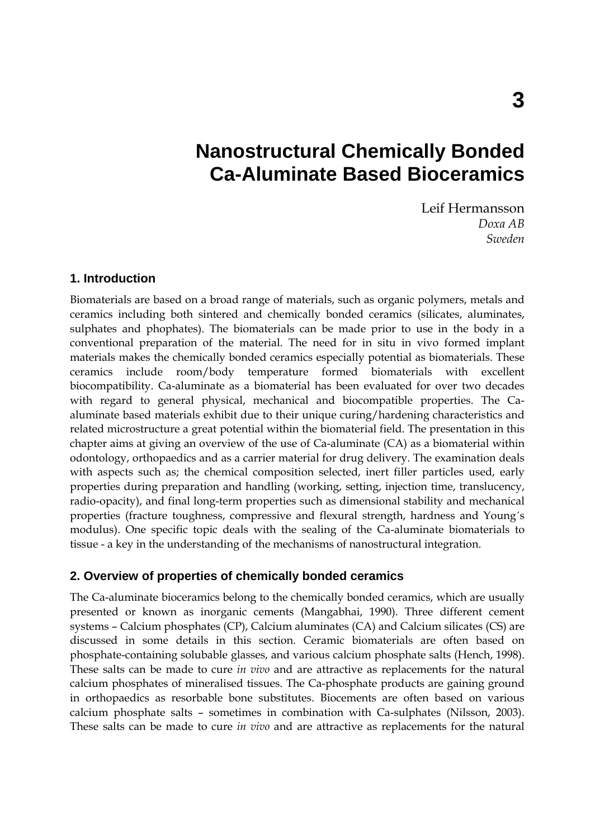# **Nanostructural Chemically Bonded Ca-Aluminate Based Bioceramics**

Leif Hermansson *Doxa AB Sweden* 

# **1. Introduction**

Biomaterials are based on a broad range of materials, such as organic polymers, metals and ceramics including both sintered and chemically bonded ceramics (silicates, aluminates, sulphates and phophates). The biomaterials can be made prior to use in the body in a conventional preparation of the material. The need for in situ in vivo formed implant materials makes the chemically bonded ceramics especially potential as biomaterials. These ceramics include room/body temperature formed biomaterials with excellent biocompatibility. Ca-aluminate as a biomaterial has been evaluated for over two decades with regard to general physical, mechanical and biocompatible properties. The Caaluminate based materials exhibit due to their unique curing/hardening characteristics and related microstructure a great potential within the biomaterial field. The presentation in this chapter aims at giving an overview of the use of Ca-aluminate (CA) as a biomaterial within odontology, orthopaedics and as a carrier material for drug delivery. The examination deals with aspects such as; the chemical composition selected, inert filler particles used, early properties during preparation and handling (working, setting, injection time, translucency, radio-opacity), and final long-term properties such as dimensional stability and mechanical properties (fracture toughness, compressive and flexural strength, hardness and Young´s modulus). One specific topic deals with the sealing of the Ca-aluminate biomaterials to tissue - a key in the understanding of the mechanisms of nanostructural integration.

# **2. Overview of properties of chemically bonded ceramics**

The Ca-aluminate bioceramics belong to the chemically bonded ceramics, which are usually presented or known as inorganic cements (Mangabhai, 1990). Three different cement systems – Calcium phosphates (CP), Calcium aluminates (CA) and Calcium silicates (CS) are discussed in some details in this section. Ceramic biomaterials are often based on phosphate-containing solubable glasses, and various calcium phosphate salts (Hench, 1998). These salts can be made to cure *in vivo* and are attractive as replacements for the natural calcium phosphates of mineralised tissues. The Ca-phosphate products are gaining ground in orthopaedics as resorbable bone substitutes. Biocements are often based on various calcium phosphate salts – sometimes in combination with Ca-sulphates (Nilsson, 2003). These salts can be made to cure *in vivo* and are attractive as replacements for the natural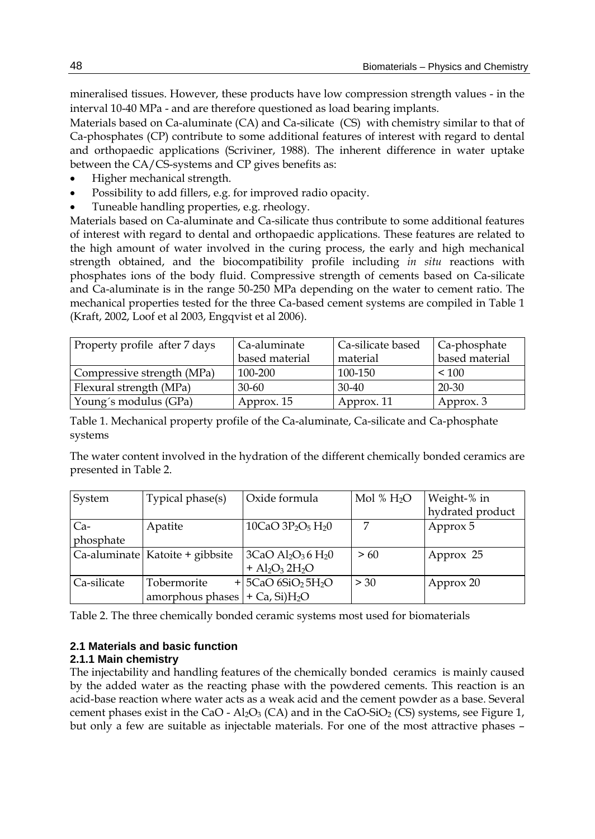mineralised tissues. However, these products have low compression strength values - in the interval 10-40 MPa - and are therefore questioned as load bearing implants.

Materials based on Ca-aluminate (CA) and Ca-silicate (CS) with chemistry similar to that of Ca-phosphates (CP) contribute to some additional features of interest with regard to dental and orthopaedic applications (Scriviner, 1988). The inherent difference in water uptake between the CA/CS-systems and CP gives benefits as:

- Higher mechanical strength.
- Possibility to add fillers, e.g. for improved radio opacity.
- Tuneable handling properties, e.g. rheology.

Materials based on Ca-aluminate and Ca-silicate thus contribute to some additional features of interest with regard to dental and orthopaedic applications. These features are related to the high amount of water involved in the curing process, the early and high mechanical strength obtained, and the biocompatibility profile including *in situ* reactions with phosphates ions of the body fluid. Compressive strength of cements based on Ca-silicate and Ca-aluminate is in the range 50-250 MPa depending on the water to cement ratio. The mechanical properties tested for the three Ca-based cement systems are compiled in Table 1 (Kraft, 2002, Loof et al 2003, Engqvist et al 2006).

| Property profile after 7 days | Ca-aluminate   | Ca-silicate based | $Ca$ -phosphate |
|-------------------------------|----------------|-------------------|-----------------|
|                               | based material | material          | based material  |
| Compressive strength (MPa)    | 100-200        | 100-150           | < 100           |
| Flexural strength (MPa)       | $30 - 60$      | $30 - 40$         | 20-30           |
| Young's modulus (GPa)         | Approx. 15     | Approx. 11        | Approx. 3       |

Table 1. Mechanical property profile of the Ca-aluminate, Ca-silicate and Ca-phosphate systems

The water content involved in the hydration of the different chemically bonded ceramics are presented in Table 2.

| System      | Typical phase(s)                    | Oxide formula                                        | Mol % $H_2O$ | Weight-% in      |
|-------------|-------------------------------------|------------------------------------------------------|--------------|------------------|
|             |                                     |                                                      |              | hydrated product |
| $Ca-$       | Apatite                             | 10CaO $3P_2O_5H_2O$                                  | ∍            | Approx 5         |
| phosphate   |                                     |                                                      |              |                  |
|             | Ca-aluminate   Katoite + gibbsite   | $3CaO Al2O36 H2O$                                    | >60          | Approx 25        |
|             |                                     | $+$ Al <sub>2</sub> O <sub>3</sub> 2H <sub>2</sub> O |              |                  |
| Ca-silicate | Tobermorite                         | $+$ 5CaO 6SiO <sub>2</sub> 5H <sub>2</sub> O         | > 30         | Approx 20        |
|             | amorphous phases $+$ Ca, Si) $H_2O$ |                                                      |              |                  |

Table 2. The three chemically bonded ceramic systems most used for biomaterials

### **2.1 Materials and basic function**

### **2.1.1 Main chemistry**

The injectability and handling features of the chemically bonded ceramics is mainly caused by the added water as the reacting phase with the powdered cements. This reaction is an acid-base reaction where water acts as a weak acid and the cement powder as a base. Several cement phases exist in the CaO -  $\text{Al}_2\text{O}_3$  (CA) and in the CaO-SiO<sub>2</sub> (CS) systems, see Figure 1, but only a few are suitable as injectable materials. For one of the most attractive phases –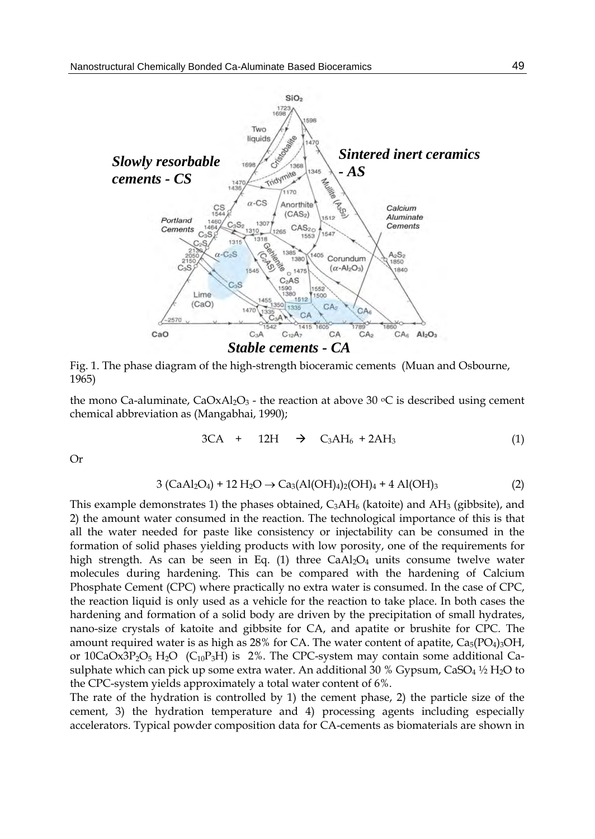

Fig. 1. The phase diagram of the high-strength bioceramic cements (Muan and Osbourne, 1965)

the mono Ca-aluminate, CaOxAl<sub>2</sub>O<sub>3</sub> - the reaction at above 30 °C is described using cement chemical abbreviation as (Mangabhai, 1990);

$$
3CA + 12H \rightarrow C_3AH_6 + 2AH_3 \tag{1}
$$

Or

$$
3 (CaAl2O4) + 12 H2O \to Ca3(Al(OH)4)2(OH)4 + 4 Al(OH)3
$$
\n(2)

This example demonstrates 1) the phases obtained,  $C_3AH_6$  (katoite) and  $AH_3$  (gibbsite), and 2) the amount water consumed in the reaction. The technological importance of this is that all the water needed for paste like consistency or injectability can be consumed in the formation of solid phases yielding products with low porosity, one of the requirements for high strength. As can be seen in Eq.  $(1)$  three CaAl<sub>2</sub>O<sub>4</sub> units consume twelve water molecules during hardening. This can be compared with the hardening of Calcium Phosphate Cement (CPC) where practically no extra water is consumed. In the case of CPC, the reaction liquid is only used as a vehicle for the reaction to take place. In both cases the hardening and formation of a solid body are driven by the precipitation of small hydrates, nano-size crystals of katoite and gibbsite for CA, and apatite or brushite for CPC. The amount required water is as high as  $28\%$  for CA. The water content of apatite,  $Ca<sub>5</sub>(PO<sub>4</sub>)<sub>3</sub>OH$ , or 10CaOx3P<sub>2</sub>O<sub>5</sub> H<sub>2</sub>O (C<sub>10</sub>P<sub>3</sub>H) is 2%. The CPC-system may contain some additional Casulphate which can pick up some extra water. An additional 30 % Gypsum,  $CaSO<sub>4</sub>$  1/<sub>2</sub> H<sub>2</sub>O to the CPC-system yields approximately a total water content of 6%.

The rate of the hydration is controlled by 1) the cement phase, 2) the particle size of the cement, 3) the hydration temperature and 4) processing agents including especially accelerators. Typical powder composition data for CA-cements as biomaterials are shown in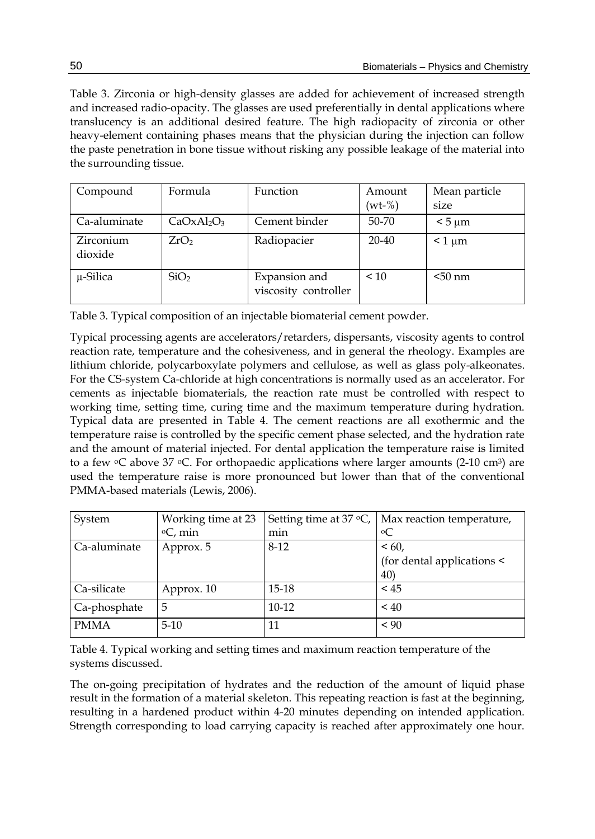Table 3. Zirconia or high-density glasses are added for achievement of increased strength and increased radio-opacity. The glasses are used preferentially in dental applications where translucency is an additional desired feature. The high radiopacity of zirconia or other heavy-element containing phases means that the physician during the injection can follow the paste penetration in bone tissue without risking any possible leakage of the material into the surrounding tissue.

| Compound             | Formula                            | Function                              | Amount<br>$(wt-%)$ | Mean particle<br>size |
|----------------------|------------------------------------|---------------------------------------|--------------------|-----------------------|
| Ca-aluminate         | CaOxAl <sub>2</sub> O <sub>3</sub> | Cement binder                         | 50-70              | $< 5 \mu m$           |
| Zirconium<br>dioxide | ZrO <sub>2</sub>                   | Radiopacier                           | $20-40$            | $<$ 1 $\mu$ m         |
| u-Silica             | SiO <sub>2</sub>                   | Expansion and<br>viscosity controller | ~10                | $50 \text{ nm}$       |

Table 3. Typical composition of an injectable biomaterial cement powder.

Typical processing agents are accelerators/retarders, dispersants, viscosity agents to control reaction rate, temperature and the cohesiveness, and in general the rheology. Examples are lithium chloride, polycarboxylate polymers and cellulose, as well as glass poly-alkeonates. For the CS-system Ca-chloride at high concentrations is normally used as an accelerator. For cements as injectable biomaterials, the reaction rate must be controlled with respect to working time, setting time, curing time and the maximum temperature during hydration. Typical data are presented in Table 4. The cement reactions are all exothermic and the temperature raise is controlled by the specific cement phase selected, and the hydration rate and the amount of material injected. For dental application the temperature raise is limited to a few  $\rm{C}$  above 37  $\rm{C}$ . For orthopaedic applications where larger amounts (2-10 cm<sup>3</sup>) are used the temperature raise is more pronounced but lower than that of the conventional PMMA-based materials (Lewis, 2006).

| System       | Working time at 23 | Setting time at $37 \text{ }^{\circ}\text{C}$ , | Max reaction temperature,  |
|--------------|--------------------|-------------------------------------------------|----------------------------|
|              | $\rm ^{o}C$ , min  | min                                             | $\circ$ C                  |
| Ca-aluminate | Approx. 5          | $8-12$                                          | < 60,                      |
|              |                    |                                                 | (for dental applications < |
|              |                    |                                                 | 40)                        |
| Ca-silicate  | Approx. 10         | 15-18                                           | < 45                       |
| Ca-phosphate | 5                  | $10-12$                                         | < 40                       |
| <b>PMMA</b>  | $5-10$             | 11                                              | ${}_{0.000}$               |

Table 4. Typical working and setting times and maximum reaction temperature of the systems discussed.

The on-going precipitation of hydrates and the reduction of the amount of liquid phase result in the formation of a material skeleton. This repeating reaction is fast at the beginning, resulting in a hardened product within 4-20 minutes depending on intended application. Strength corresponding to load carrying capacity is reached after approximately one hour.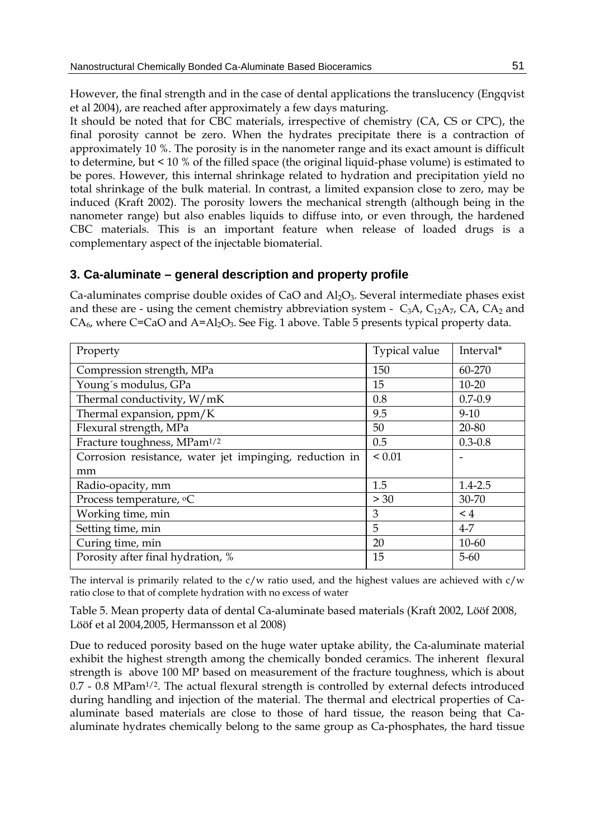However, the final strength and in the case of dental applications the translucency (Engqvist et al 2004), are reached after approximately a few days maturing.

It should be noted that for CBC materials, irrespective of chemistry (CA, CS or CPC), the final porosity cannot be zero. When the hydrates precipitate there is a contraction of approximately 10 %. The porosity is in the nanometer range and its exact amount is difficult to determine, but < 10 % of the filled space (the original liquid-phase volume) is estimated to be pores. However, this internal shrinkage related to hydration and precipitation yield no total shrinkage of the bulk material. In contrast, a limited expansion close to zero, may be induced (Kraft 2002). The porosity lowers the mechanical strength (although being in the nanometer range) but also enables liquids to diffuse into, or even through, the hardened CBC materials. This is an important feature when release of loaded drugs is a complementary aspect of the injectable biomaterial.

# **3. Ca-aluminate – general description and property profile**

Ca-aluminates comprise double oxides of CaO and Al2O3. Several intermediate phases exist and these are - using the cement chemistry abbreviation system -  $C_3A$ ,  $C_{12}A_7$ ,  $CA$ ,  $CA_2$  and  $CA<sub>6</sub>$ , where C=CaO and A=Al<sub>2</sub>O<sub>3</sub>. See Fig. 1 above. Table 5 presents typical property data.

| Property                                                | Typical value | Interval*                |
|---------------------------------------------------------|---------------|--------------------------|
| Compression strength, MPa                               | 150           | 60-270                   |
| Young's modulus, GPa                                    | 15            | $10 - 20$                |
| Thermal conductivity, W/mK                              | 0.8           | $0.7 - 0.9$              |
| Thermal expansion, ppm/K                                | 9.5           | $9 - 10$                 |
| Flexural strength, MPa                                  | 50            | 20-80                    |
| Fracture toughness, MPam <sup>1/2</sup>                 | 0.5           | $0.3 - 0.8$              |
| Corrosion resistance, water jet impinging, reduction in | ${}_{0.01}$   | $\overline{\phantom{a}}$ |
| mm                                                      |               |                          |
| Radio-opacity, mm                                       | 1.5           | $1.4 - 2.5$              |
| Process temperature, °C                                 | > 30          | 30-70                    |
| Working time, min                                       | 3             | $\leq 4$                 |
| Setting time, min                                       | 5             | $4 - 7$                  |
| Curing time, min                                        | 20            | 10-60                    |
| Porosity after final hydration, %                       | 15            | $5 - 60$                 |

The interval is primarily related to the  $c/w$  ratio used, and the highest values are achieved with  $c/w$ ratio close to that of complete hydration with no excess of water

Table 5. Mean property data of dental Ca-aluminate based materials (Kraft 2002, Lööf 2008, Lööf et al 2004,2005, Hermansson et al 2008)

Due to reduced porosity based on the huge water uptake ability, the Ca-aluminate material exhibit the highest strength among the chemically bonded ceramics. The inherent flexural strength is above 100 MP based on measurement of the fracture toughness, which is about 0.7 - 0.8 MPam1/2. The actual flexural strength is controlled by external defects introduced during handling and injection of the material. The thermal and electrical properties of Caaluminate based materials are close to those of hard tissue, the reason being that Caaluminate hydrates chemically belong to the same group as Ca-phosphates, the hard tissue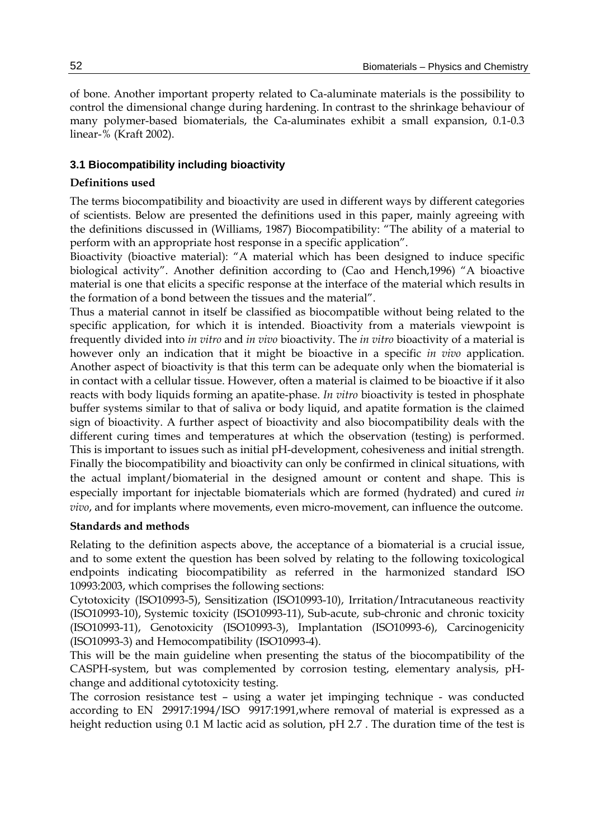of bone. Another important property related to Ca-aluminate materials is the possibility to control the dimensional change during hardening. In contrast to the shrinkage behaviour of many polymer-based biomaterials, the Ca-aluminates exhibit a small expansion, 0.1-0.3 linear-% (Kraft 2002).

# **3.1 Biocompatibility including bioactivity**

## **Definitions used**

The terms biocompatibility and bioactivity are used in different ways by different categories of scientists. Below are presented the definitions used in this paper, mainly agreeing with the definitions discussed in (Williams, 1987) Biocompatibility: "The ability of a material to perform with an appropriate host response in a specific application".

Bioactivity (bioactive material): "A material which has been designed to induce specific biological activity". Another definition according to (Cao and Hench,1996) "A bioactive material is one that elicits a specific response at the interface of the material which results in the formation of a bond between the tissues and the material".

Thus a material cannot in itself be classified as biocompatible without being related to the specific application, for which it is intended. Bioactivity from a materials viewpoint is frequently divided into *in vitro* and *in vivo* bioactivity. The *in vitro* bioactivity of a material is however only an indication that it might be bioactive in a specific *in vivo* application. Another aspect of bioactivity is that this term can be adequate only when the biomaterial is in contact with a cellular tissue. However, often a material is claimed to be bioactive if it also reacts with body liquids forming an apatite-phase. *In vitro* bioactivity is tested in phosphate buffer systems similar to that of saliva or body liquid, and apatite formation is the claimed sign of bioactivity. A further aspect of bioactivity and also biocompatibility deals with the different curing times and temperatures at which the observation (testing) is performed. This is important to issues such as initial pH-development, cohesiveness and initial strength. Finally the biocompatibility and bioactivity can only be confirmed in clinical situations, with the actual implant/biomaterial in the designed amount or content and shape. This is especially important for injectable biomaterials which are formed (hydrated) and cured *in vivo*, and for implants where movements, even micro-movement, can influence the outcome.

## **Standards and methods**

Relating to the definition aspects above, the acceptance of a biomaterial is a crucial issue, and to some extent the question has been solved by relating to the following toxicological endpoints indicating biocompatibility as referred in the harmonized standard ISO 10993:2003, which comprises the following sections:

Cytotoxicity (ISO10993-5), Sensitization (ISO10993-10), Irritation/Intracutaneous reactivity (ISO10993-10), Systemic toxicity (ISO10993-11), Sub-acute, sub-chronic and chronic toxicity (ISO10993-11), Genotoxicity (ISO10993-3), Implantation (ISO10993-6), Carcinogenicity (ISO10993-3) and Hemocompatibility (ISO10993-4).

This will be the main guideline when presenting the status of the biocompatibility of the CASPH-system, but was complemented by corrosion testing, elementary analysis, pHchange and additional cytotoxicity testing.

The corrosion resistance test – using a water jet impinging technique - was conducted according to EN 29917:1994/ISO 9917:1991,where removal of material is expressed as a height reduction using 0.1 M lactic acid as solution, pH 2.7 . The duration time of the test is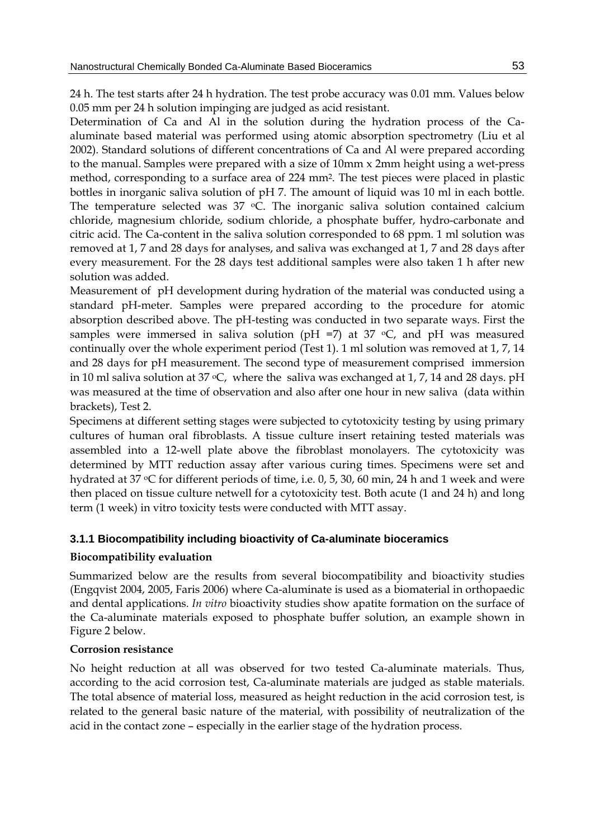24 h. The test starts after 24 h hydration. The test probe accuracy was 0.01 mm. Values below 0.05 mm per 24 h solution impinging are judged as acid resistant.

Determination of Ca and Al in the solution during the hydration process of the Caaluminate based material was performed using atomic absorption spectrometry (Liu et al 2002). Standard solutions of different concentrations of Ca and Al were prepared according to the manual. Samples were prepared with a size of 10mm x 2mm height using a wet-press method, corresponding to a surface area of 224 mm2. The test pieces were placed in plastic bottles in inorganic saliva solution of pH 7. The amount of liquid was 10 ml in each bottle. The temperature selected was  $37$  °C. The inorganic saliva solution contained calcium chloride, magnesium chloride, sodium chloride, a phosphate buffer, hydro-carbonate and citric acid. The Ca-content in the saliva solution corresponded to 68 ppm. 1 ml solution was removed at 1, 7 and 28 days for analyses, and saliva was exchanged at 1, 7 and 28 days after every measurement. For the 28 days test additional samples were also taken 1 h after new solution was added.

Measurement of pH development during hydration of the material was conducted using a standard pH-meter. Samples were prepared according to the procedure for atomic absorption described above. The pH-testing was conducted in two separate ways. First the samples were immersed in saliva solution (pH =7) at 37  $\degree$ C, and pH was measured continually over the whole experiment period (Test 1). 1 ml solution was removed at 1, 7, 14 and 28 days for pH measurement. The second type of measurement comprised immersion in 10 ml saliva solution at  $37 \text{ °C}$ , where the saliva was exchanged at 1, 7, 14 and 28 days. pH was measured at the time of observation and also after one hour in new saliva (data within brackets), Test 2.

Specimens at different setting stages were subjected to cytotoxicity testing by using primary cultures of human oral fibroblasts. A tissue culture insert retaining tested materials was assembled into a 12-well plate above the fibroblast monolayers. The cytotoxicity was determined by MTT reduction assay after various curing times. Specimens were set and hydrated at 37 °C for different periods of time, i.e. 0, 5, 30, 60 min, 24 h and 1 week and were then placed on tissue culture netwell for a cytotoxicity test. Both acute (1 and 24 h) and long term (1 week) in vitro toxicity tests were conducted with MTT assay.

### **3.1.1 Biocompatibility including bioactivity of Ca-aluminate bioceramics**

### **Biocompatibility evaluation**

Summarized below are the results from several biocompatibility and bioactivity studies (Engqvist 2004, 2005, Faris 2006) where Ca-aluminate is used as a biomaterial in orthopaedic and dental applications. *In vitro* bioactivity studies show apatite formation on the surface of the Ca-aluminate materials exposed to phosphate buffer solution, an example shown in Figure 2 below.

## **Corrosion resistance**

No height reduction at all was observed for two tested Ca-aluminate materials. Thus, according to the acid corrosion test, Ca-aluminate materials are judged as stable materials. The total absence of material loss, measured as height reduction in the acid corrosion test, is related to the general basic nature of the material, with possibility of neutralization of the acid in the contact zone – especially in the earlier stage of the hydration process.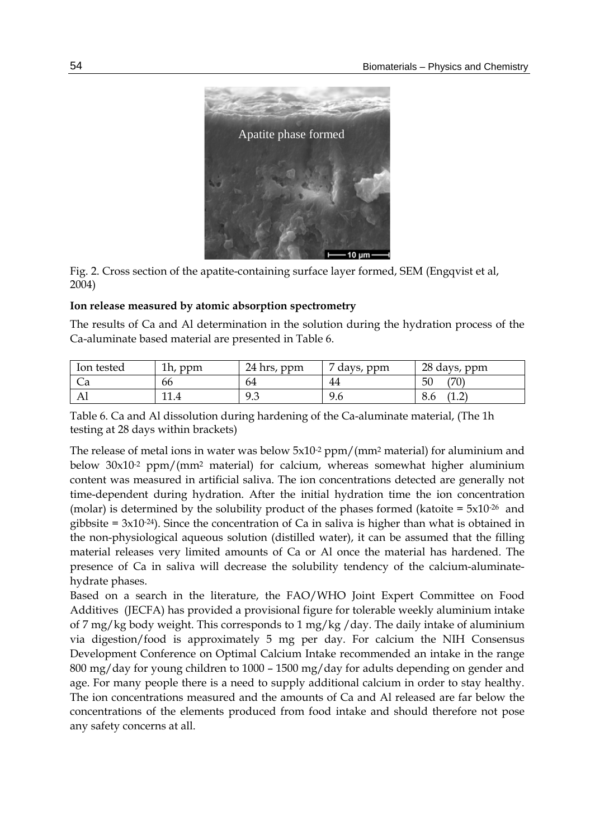

Fig. 2. Cross section of the apatite-containing surface layer formed, SEM (Engqvist et al, 2004)

#### **Ion release measured by atomic absorption spectrometry**

The results of Ca and Al determination in the solution during the hydration process of the Ca-aluminate based material are presented in Table 6.

| Ion tested | 1h.<br>ppm | 24 hrs, ppm | $\overline{ }$<br>days, ppm | 28 days, ppm                                       |
|------------|------------|-------------|-----------------------------|----------------------------------------------------|
| Ca         | 66         | 64          | 44                          | 50<br>$\sqrt{70}$<br>7 V                           |
| лг         | 11         | Q 2<br>ノ・ソ  | 9.6                         | $\bigcap$<br>$\Omega$<br>ð.b<br>$\pm \cdot \angle$ |

Table 6. Ca and Al dissolution during hardening of the Ca-aluminate material, (The 1h testing at 28 days within brackets)

The release of metal ions in water was below  $5x10^2$  ppm/(mm<sup>2</sup> material) for aluminium and below  $30x10^{-2}$  ppm/(mm<sup>2</sup> material) for calcium, whereas somewhat higher aluminium content was measured in artificial saliva. The ion concentrations detected are generally not time-dependent during hydration. After the initial hydration time the ion concentration (molar) is determined by the solubility product of the phases formed (katoite  $= 5x10^{-26}$  and gibbsite  $= 3x10^{-24}$ ). Since the concentration of Ca in saliva is higher than what is obtained in the non-physiological aqueous solution (distilled water), it can be assumed that the filling material releases very limited amounts of Ca or Al once the material has hardened. The presence of Ca in saliva will decrease the solubility tendency of the calcium-aluminatehydrate phases.

Based on a search in the literature, the FAO/WHO Joint Expert Committee on Food Additives (JECFA) has provided a provisional figure for tolerable weekly aluminium intake of 7 mg/kg body weight. This corresponds to 1 mg/kg /day. The daily intake of aluminium via digestion/food is approximately 5 mg per day. For calcium the NIH Consensus Development Conference on Optimal Calcium Intake recommended an intake in the range 800 mg/day for young children to 1000 – 1500 mg/day for adults depending on gender and age. For many people there is a need to supply additional calcium in order to stay healthy. The ion concentrations measured and the amounts of Ca and Al released are far below the concentrations of the elements produced from food intake and should therefore not pose any safety concerns at all.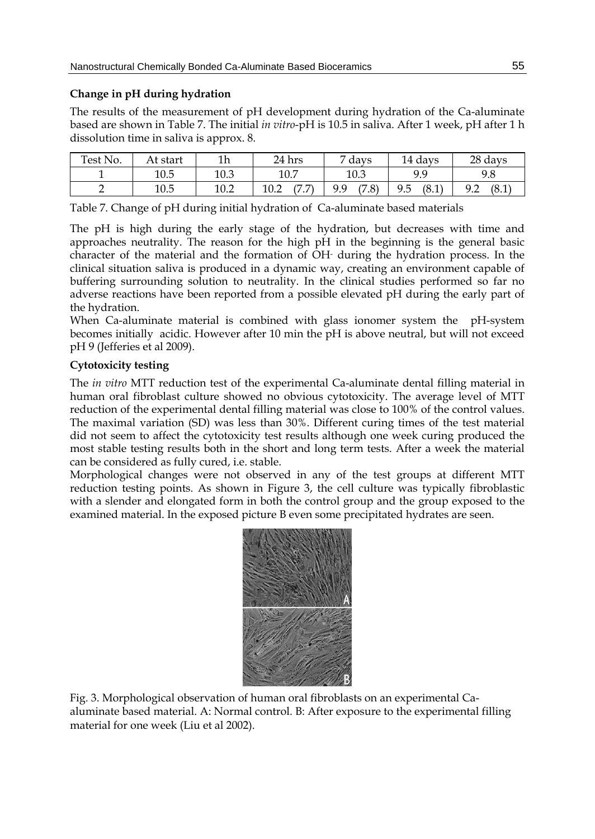## **Change in pH during hydration**

The results of the measurement of pH development during hydration of the Ca-aluminate based are shown in Table 7. The initial *in vitro*-pH is 10.5 in saliva. After 1 week, pH after 1 h dissolution time in saliva is approx. 8.

| Test No. | At start | 1h   | 24 hrs                          | days                | 14 days      | 28 days      |
|----------|----------|------|---------------------------------|---------------------|--------------|--------------|
|          | 10.5     | 10.3 | 10.7                            | 10.3                | 9.9          | QΩ<br>7.O    |
| -        | 10.5     | 10.2 | 10.2<br>$\cdot$ $\cdot$ $\cdot$ | (7.8)<br>Q Q<br>ノ・ノ | (8.1)<br>9.5 | (8.1)<br>9.2 |

Table 7. Change of pH during initial hydration of Ca-aluminate based materials

The pH is high during the early stage of the hydration, but decreases with time and approaches neutrality. The reason for the high pH in the beginning is the general basic character of the material and the formation of OH- during the hydration process. In the clinical situation saliva is produced in a dynamic way, creating an environment capable of buffering surrounding solution to neutrality. In the clinical studies performed so far no adverse reactions have been reported from a possible elevated pH during the early part of the hydration.

When Ca-aluminate material is combined with glass ionomer system the pH-system becomes initially acidic. However after 10 min the pH is above neutral, but will not exceed pH 9 (Jefferies et al 2009).

## **Cytotoxicity testing**

The *in vitro* MTT reduction test of the experimental Ca-aluminate dental filling material in human oral fibroblast culture showed no obvious cytotoxicity. The average level of MTT reduction of the experimental dental filling material was close to 100% of the control values. The maximal variation (SD) was less than 30%. Different curing times of the test material did not seem to affect the cytotoxicity test results although one week curing produced the most stable testing results both in the short and long term tests. After a week the material can be considered as fully cured, i.e. stable.

Morphological changes were not observed in any of the test groups at different MTT reduction testing points. As shown in Figure 3, the cell culture was typically fibroblastic with a slender and elongated form in both the control group and the group exposed to the examined material. In the exposed picture B even some precipitated hydrates are seen.



Fig. 3. Morphological observation of human oral fibroblasts on an experimental Caaluminate based material. A: Normal control. B: After exposure to the experimental filling material for one week (Liu et al 2002).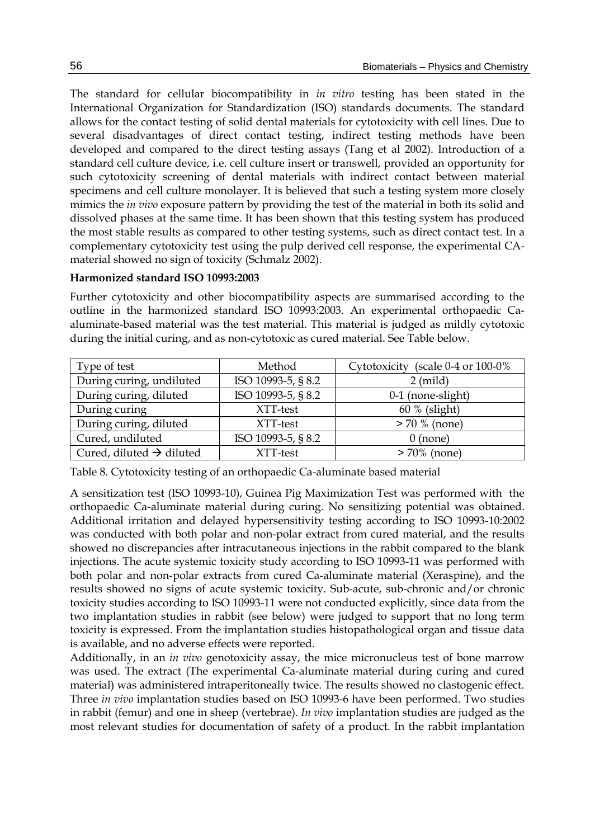The standard for cellular biocompatibility in *in vitro* testing has been stated in the International Organization for Standardization (ISO) standards documents. The standard allows for the contact testing of solid dental materials for cytotoxicity with cell lines. Due to several disadvantages of direct contact testing, indirect testing methods have been developed and compared to the direct testing assays (Tang et al 2002). Introduction of a standard cell culture device, i.e. cell culture insert or transwell, provided an opportunity for such cytotoxicity screening of dental materials with indirect contact between material specimens and cell culture monolayer. It is believed that such a testing system more closely mimics the *in vivo* exposure pattern by providing the test of the material in both its solid and dissolved phases at the same time. It has been shown that this testing system has produced the most stable results as compared to other testing systems, such as direct contact test. In a complementary cytotoxicity test using the pulp derived cell response, the experimental CAmaterial showed no sign of toxicity (Schmalz 2002).

#### **Harmonized standard ISO 10993:2003**

Further cytotoxicity and other biocompatibility aspects are summarised according to the outline in the harmonized standard ISO 10993:2003. An experimental orthopaedic Caaluminate-based material was the test material. This material is judged as mildly cytotoxic during the initial curing, and as non-cytotoxic as cured material. See Table below.

| Type of test                         | Method             | Cytotoxicity (scale 0-4 or 100-0%) |
|--------------------------------------|--------------------|------------------------------------|
| During curing, undiluted             | ISO 10993-5, § 8.2 | $2 \pmod{2}$                       |
| During curing, diluted               | ISO 10993-5, § 8.2 | 0-1 (none-slight)                  |
| During curing                        | XTT-test           | $60 \%$ (slight)                   |
| During curing, diluted               | XTT-test           | $> 70 \%$ (none)                   |
| Cured, undiluted                     | ISO 10993-5, § 8.2 | $0$ (none)                         |
| Cured, diluted $\rightarrow$ diluted | XTT-test           | $> 70\%$ (none)                    |

Table 8. Cytotoxicity testing of an orthopaedic Ca-aluminate based material

A sensitization test (ISO 10993-10), Guinea Pig Maximization Test was performed with the orthopaedic Ca-aluminate material during curing. No sensitizing potential was obtained. Additional irritation and delayed hypersensitivity testing according to ISO 10993-10:2002 was conducted with both polar and non-polar extract from cured material, and the results showed no discrepancies after intracutaneous injections in the rabbit compared to the blank injections. The acute systemic toxicity study according to ISO 10993-11 was performed with both polar and non-polar extracts from cured Ca-aluminate material (Xeraspine), and the results showed no signs of acute systemic toxicity. Sub-acute, sub-chronic and/or chronic toxicity studies according to ISO 10993-11 were not conducted explicitly, since data from the two implantation studies in rabbit (see below) were judged to support that no long term toxicity is expressed. From the implantation studies histopathological organ and tissue data is available, and no adverse effects were reported.

Additionally, in an *in vivo* genotoxicity assay, the mice micronucleus test of bone marrow was used. The extract (The experimental Ca-aluminate material during curing and cured material) was administered intraperitoneally twice. The results showed no clastogenic effect. Three *in vivo* implantation studies based on ISO 10993-6 have been performed. Two studies in rabbit (femur) and one in sheep (vertebrae). *In vivo* implantation studies are judged as the most relevant studies for documentation of safety of a product. In the rabbit implantation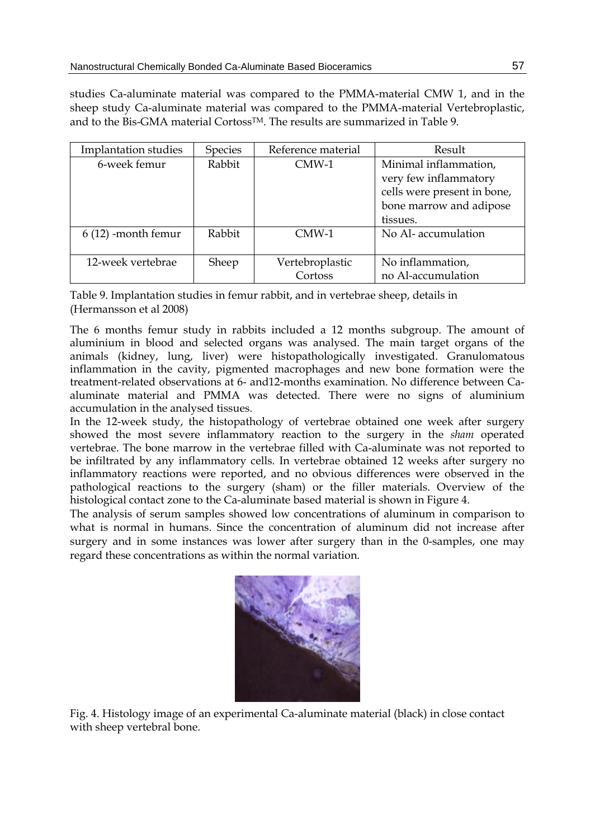studies Ca-aluminate material was compared to the PMMA-material CMW 1, and in the sheep study Ca-aluminate material was compared to the PMMA-material Vertebroplastic, and to the Bis-GMA material CortossTM. The results are summarized in Table 9.

| Implantation studies | Species | Reference material | Result                      |
|----------------------|---------|--------------------|-----------------------------|
| 6-week femur         | Rabbit  | $CMW-1$            | Minimal inflammation,       |
|                      |         |                    | very few inflammatory       |
|                      |         |                    | cells were present in bone, |
|                      |         |                    | bone marrow and adipose     |
|                      |         |                    | tissues.                    |
| 6 (12) -month femur  | Rabbit  | $CMW-1$            | No Al-accumulation          |
|                      |         |                    |                             |
| 12-week vertebrae    | Sheep   | Vertebroplastic    | No inflammation,            |
|                      |         | Cortoss            | no Al-accumulation          |

Table 9. Implantation studies in femur rabbit, and in vertebrae sheep, details in (Hermansson et al 2008)

The 6 months femur study in rabbits included a 12 months subgroup. The amount of aluminium in blood and selected organs was analysed. The main target organs of the animals (kidney, lung, liver) were histopathologically investigated. Granulomatous inflammation in the cavity, pigmented macrophages and new bone formation were the treatment-related observations at 6- and12-months examination. No difference between Caaluminate material and PMMA was detected. There were no signs of aluminium accumulation in the analysed tissues.

In the 12-week study, the histopathology of vertebrae obtained one week after surgery showed the most severe inflammatory reaction to the surgery in the *sham* operated vertebrae. The bone marrow in the vertebrae filled with Ca-aluminate was not reported to be infiltrated by any inflammatory cells. In vertebrae obtained 12 weeks after surgery no inflammatory reactions were reported, and no obvious differences were observed in the pathological reactions to the surgery (sham) or the filler materials. Overview of the histological contact zone to the Ca-aluminate based material is shown in Figure 4.

The analysis of serum samples showed low concentrations of aluminum in comparison to what is normal in humans. Since the concentration of aluminum did not increase after surgery and in some instances was lower after surgery than in the 0-samples, one may regard these concentrations as within the normal variation.



Fig. 4. Histology image of an experimental Ca-aluminate material (black) in close contact with sheep vertebral bone.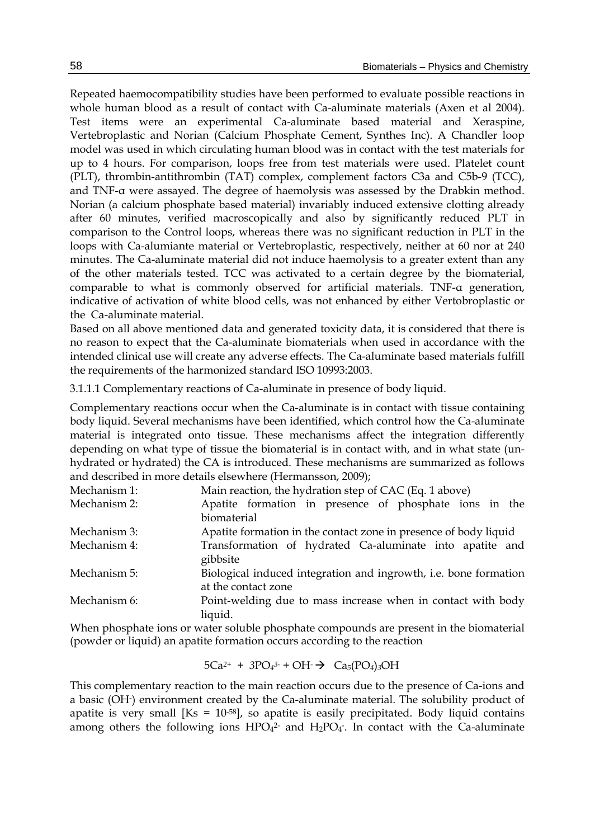Repeated haemocompatibility studies have been performed to evaluate possible reactions in whole human blood as a result of contact with Ca-aluminate materials (Axen et al 2004). Test items were an experimental Ca-aluminate based material and Xeraspine, Vertebroplastic and Norian (Calcium Phosphate Cement, Synthes Inc). A Chandler loop model was used in which circulating human blood was in contact with the test materials for up to 4 hours. For comparison, loops free from test materials were used. Platelet count (PLT), thrombin-antithrombin (TAT) complex, complement factors C3a and C5b-9 (TCC), and TNF-α were assayed. The degree of haemolysis was assessed by the Drabkin method. Norian (a calcium phosphate based material) invariably induced extensive clotting already after 60 minutes, verified macroscopically and also by significantly reduced PLT in comparison to the Control loops, whereas there was no significant reduction in PLT in the loops with Ca-alumiante material or Vertebroplastic, respectively, neither at 60 nor at 240 minutes. The Ca-aluminate material did not induce haemolysis to a greater extent than any of the other materials tested. TCC was activated to a certain degree by the biomaterial, comparable to what is commonly observed for artificial materials. TNF-α generation, indicative of activation of white blood cells, was not enhanced by either Vertobroplastic or the Ca-aluminate material.

Based on all above mentioned data and generated toxicity data, it is considered that there is no reason to expect that the Ca-aluminate biomaterials when used in accordance with the intended clinical use will create any adverse effects. The Ca-aluminate based materials fulfill the requirements of the harmonized standard ISO 10993:2003.

3.1.1.1 Complementary reactions of Ca-aluminate in presence of body liquid.

Complementary reactions occur when the Ca-aluminate is in contact with tissue containing body liquid. Several mechanisms have been identified, which control how the Ca-aluminate material is integrated onto tissue. These mechanisms affect the integration differently depending on what type of tissue the biomaterial is in contact with, and in what state (unhydrated or hydrated) the CA is introduced. These mechanisms are summarized as follows and described in more details elsewhere (Hermansson, 2009);

| Mechanism 1: | Main reaction, the hydration step of CAC (Eq. 1 above)                                                                                                                                                                         |
|--------------|--------------------------------------------------------------------------------------------------------------------------------------------------------------------------------------------------------------------------------|
| Mechanism 2: | Apatite formation in presence of phosphate ions in the                                                                                                                                                                         |
|              | biomaterial                                                                                                                                                                                                                    |
| Mechanism 3: | Apatite formation in the contact zone in presence of body liquid                                                                                                                                                               |
| Mechanism 4: | Transformation of hydrated Ca-aluminate into apatite and<br>gibbsite                                                                                                                                                           |
| Mechanism 5: | Biological induced integration and ingrowth, <i>i.e.</i> bone formation<br>at the contact zone                                                                                                                                 |
| Mechanism 6: | Point-welding due to mass increase when in contact with body<br>liquid.                                                                                                                                                        |
|              | TATLE of the collected the contract of a state of the collected contracts of the contract of the late of a state of the state of the collection of the collection of the collection of the collection of the collection of the |

When phosphate ions or water soluble phosphate compounds are present in the biomaterial (powder or liquid) an apatite formation occurs according to the reaction

$$
5Ca^{2+} + 3PO_{4}^{3-} + OH \rightarrow Ca_{5}(PO_{4})_{3}OH
$$

This complementary reaction to the main reaction occurs due to the presence of Ca-ions and a basic (OH-) environment created by the Ca-aluminate material. The solubility product of apatite is very small  $[K = 10^{-58}]$ , so apatite is easily precipitated. Body liquid contains among others the following ions  $HPO<sub>4</sub><sup>2</sup>$  and  $H<sub>2</sub>PO<sub>4</sub>$ . In contact with the Ca-aluminate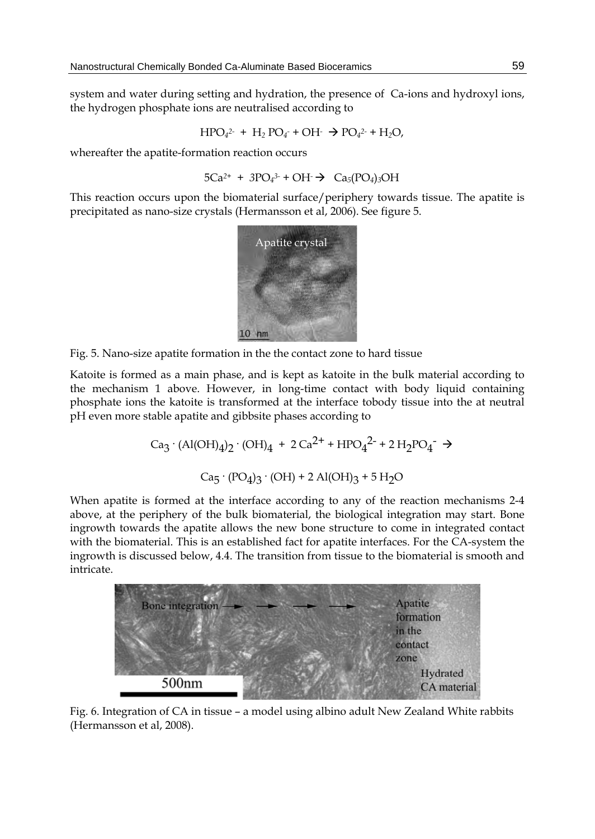system and water during setting and hydration, the presence of Ca-ions and hydroxyl ions, the hydrogen phosphate ions are neutralised according to

$$
\mathrm{HPO_{4^{2\text{-}}}} + \mathrm{H_{2}} \, \mathrm{PO_{4^{\text{-}}}} + \mathrm{OH^{\text{-}}}\, \Rightarrow \mathrm{PO_{4^{2\text{-}}}} + \mathrm{H_{2}}\mathrm{O},
$$

whereafter the apatite-formation reaction occurs

$$
5Ca^{2+} + 3PO_4^{3-} + OH \rightarrow Ca_5(PO_4)_3OH
$$

This reaction occurs upon the biomaterial surface/periphery towards tissue. The apatite is precipitated as nano-size crystals (Hermansson et al, 2006). See figure 5.



Fig. 5. Nano-size apatite formation in the the contact zone to hard tissue

Katoite is formed as a main phase, and is kept as katoite in the bulk material according to the mechanism 1 above. However, in long-time contact with body liquid containing phosphate ions the katoite is transformed at the interface tobody tissue into the at neutral pH even more stable apatite and gibbsite phases according to

$$
Ca_3 \cdot (Al(OH)_4)_2 \cdot (OH)_4 + 2 Ca^{2+} + HPO_4^{2-} + 2 H_2PO_4^- \rightarrow
$$
  

$$
Ca_5 \cdot (PO_4)_3 \cdot (OH) + 2 Al(OH)_3 + 5 H_2O
$$

When apatite is formed at the interface according to any of the reaction mechanisms 2-4 above, at the periphery of the bulk biomaterial, the biological integration may start. Bone ingrowth towards the apatite allows the new bone structure to come in integrated contact with the biomaterial. This is an established fact for apatite interfaces. For the CA-system the ingrowth is discussed below, 4.4. The transition from tissue to the biomaterial is smooth and intricate.



Fig. 6. Integration of CA in tissue – a model using albino adult New Zealand White rabbits (Hermansson et al, 2008).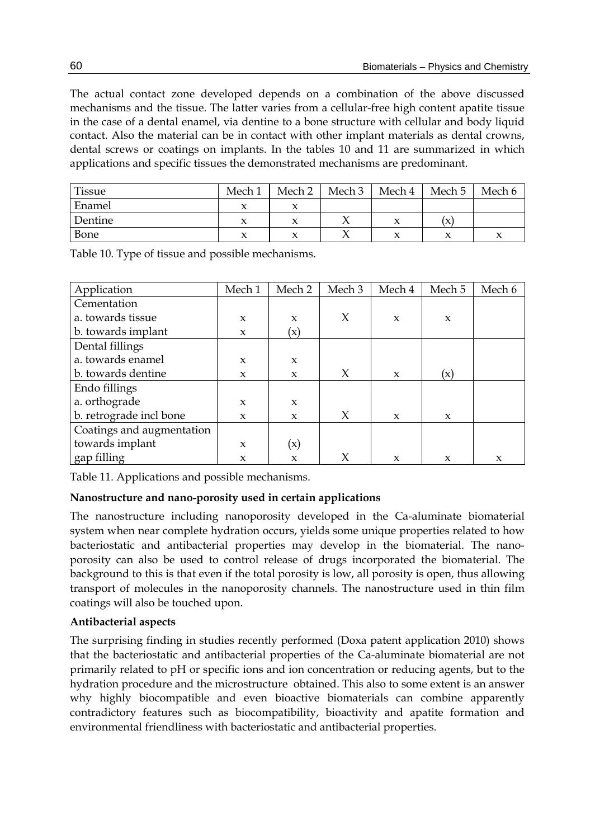The actual contact zone developed depends on a combination of the above discussed mechanisms and the tissue. The latter varies from a cellular-free high content apatite tissue in the case of a dental enamel, via dentine to a bone structure with cellular and body liquid contact. Also the material can be in contact with other implant materials as dental crowns, dental screws or coatings on implants. In the tables 10 and 11 are summarized in which applications and specific tissues the demonstrated mechanisms are predominant.

| Tissue  | Mech <sub>1</sub> | Mech 2 | Mech 3 | Mech 4 | Mech 5 | Mech 6    |
|---------|-------------------|--------|--------|--------|--------|-----------|
| Enamel  |                   |        |        |        |        |           |
| Dentine |                   |        |        |        | ΙX     |           |
| Bone    |                   |        |        |        |        | $\lambda$ |

Table 10. Type of tissue and possible mechanisms.

| Application               | Mech 1              | Mech 2       | Mech 3 | Mech 4       | Mech 5 | Mech 6 |
|---------------------------|---------------------|--------------|--------|--------------|--------|--------|
| Cementation               |                     |              |        |              |        |        |
| a. towards tissue         | X                   | $\mathbf{x}$ | X      | $\mathbf{x}$ | X      |        |
| b. towards implant        | X                   | (x)          |        |              |        |        |
| Dental fillings           |                     |              |        |              |        |        |
| a. towards enamel         | X                   | $\mathbf{x}$ |        |              |        |        |
| b. towards dentine        | X                   | X            | X      | X            | (x)    |        |
| Endo fillings             |                     |              |        |              |        |        |
| a. orthograde             | X                   | X            |        |              |        |        |
| b. retrograde incl bone   | X                   | $\mathbf{x}$ | X      | X            | X      |        |
| Coatings and augmentation |                     |              |        |              |        |        |
| towards implant           | $\boldsymbol{\chi}$ | (x)          |        |              |        |        |
| gap filling               | X                   | X            | X      | x            | x      | x      |

Table 11. Applications and possible mechanisms.

### **Nanostructure and nano-porosity used in certain applications**

The nanostructure including nanoporosity developed in the Ca-aluminate biomaterial system when near complete hydration occurs, yields some unique properties related to how bacteriostatic and antibacterial properties may develop in the biomaterial. The nanoporosity can also be used to control release of drugs incorporated the biomaterial. The background to this is that even if the total porosity is low, all porosity is open, thus allowing transport of molecules in the nanoporosity channels. The nanostructure used in thin film coatings will also be touched upon.

### **Antibacterial aspects**

The surprising finding in studies recently performed (Doxa patent application 2010) shows that the bacteriostatic and antibacterial properties of the Ca-aluminate biomaterial are not primarily related to pH or specific ions and ion concentration or reducing agents, but to the hydration procedure and the microstructure obtained. This also to some extent is an answer why highly biocompatible and even bioactive biomaterials can combine apparently contradictory features such as biocompatibility, bioactivity and apatite formation and environmental friendliness with bacteriostatic and antibacterial properties.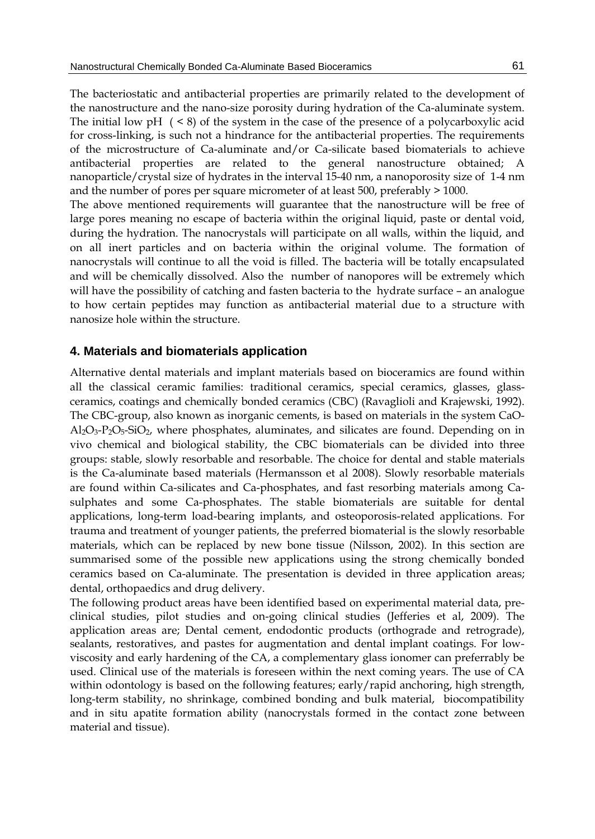The bacteriostatic and antibacterial properties are primarily related to the development of the nanostructure and the nano-size porosity during hydration of the Ca-aluminate system. The initial low pH  $(< 8$ ) of the system in the case of the presence of a polycarboxylic acid for cross-linking, is such not a hindrance for the antibacterial properties. The requirements of the microstructure of Ca-aluminate and/or Ca-silicate based biomaterials to achieve antibacterial properties are related to the general nanostructure obtained; A nanoparticle/crystal size of hydrates in the interval 15-40 nm, a nanoporosity size of 1-4 nm and the number of pores per square micrometer of at least 500, preferably > 1000.

The above mentioned requirements will guarantee that the nanostructure will be free of large pores meaning no escape of bacteria within the original liquid, paste or dental void, during the hydration. The nanocrystals will participate on all walls, within the liquid, and on all inert particles and on bacteria within the original volume. The formation of nanocrystals will continue to all the void is filled. The bacteria will be totally encapsulated and will be chemically dissolved. Also the number of nanopores will be extremely which will have the possibility of catching and fasten bacteria to the hydrate surface – an analogue to how certain peptides may function as antibacterial material due to a structure with nanosize hole within the structure.

#### **4. Materials and biomaterials application**

Alternative dental materials and implant materials based on bioceramics are found within all the classical ceramic families: traditional ceramics, special ceramics, glasses, glassceramics, coatings and chemically bonded ceramics (CBC) (Ravaglioli and Krajewski, 1992). The CBC-group, also known as inorganic cements, is based on materials in the system CaO- $Al_2O_3-P_2O_5-SiO_2$ , where phosphates, aluminates, and silicates are found. Depending on in vivo chemical and biological stability, the CBC biomaterials can be divided into three groups: stable, slowly resorbable and resorbable. The choice for dental and stable materials is the Ca-aluminate based materials (Hermansson et al 2008). Slowly resorbable materials are found within Ca-silicates and Ca-phosphates, and fast resorbing materials among Casulphates and some Ca-phosphates. The stable biomaterials are suitable for dental applications, long-term load-bearing implants, and osteoporosis-related applications. For trauma and treatment of younger patients, the preferred biomaterial is the slowly resorbable materials, which can be replaced by new bone tissue (Nilsson, 2002). In this section are summarised some of the possible new applications using the strong chemically bonded ceramics based on Ca-aluminate. The presentation is devided in three application areas; dental, orthopaedics and drug delivery.

The following product areas have been identified based on experimental material data, preclinical studies, pilot studies and on-going clinical studies (Jefferies et al, 2009). The application areas are; Dental cement, endodontic products (orthograde and retrograde), sealants, restoratives, and pastes for augmentation and dental implant coatings. For lowviscosity and early hardening of the CA, a complementary glass ionomer can preferrably be used. Clinical use of the materials is foreseen within the next coming years. The use of CA within odontology is based on the following features; early/rapid anchoring, high strength, long-term stability, no shrinkage, combined bonding and bulk material, biocompatibility and in situ apatite formation ability (nanocrystals formed in the contact zone between material and tissue).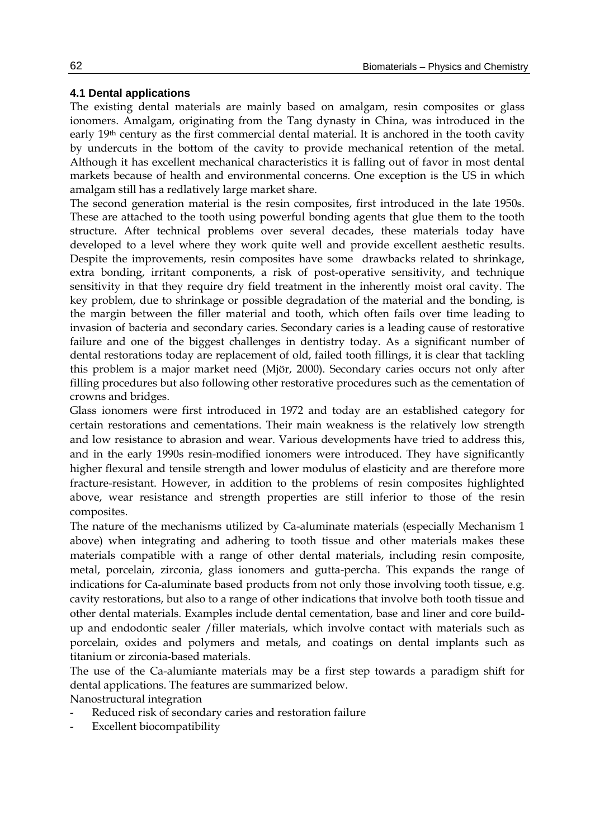## **4.1 Dental applications**

The existing dental materials are mainly based on amalgam, resin composites or glass ionomers. Amalgam, originating from the Tang dynasty in China, was introduced in the early 19<sup>th</sup> century as the first commercial dental material. It is anchored in the tooth cavity by undercuts in the bottom of the cavity to provide mechanical retention of the metal. Although it has excellent mechanical characteristics it is falling out of favor in most dental markets because of health and environmental concerns. One exception is the US in which amalgam still has a redlatively large market share.

The second generation material is the resin composites, first introduced in the late 1950s. These are attached to the tooth using powerful bonding agents that glue them to the tooth structure. After technical problems over several decades, these materials today have developed to a level where they work quite well and provide excellent aesthetic results. Despite the improvements, resin composites have some drawbacks related to shrinkage, extra bonding, irritant components, a risk of post-operative sensitivity, and technique sensitivity in that they require dry field treatment in the inherently moist oral cavity. The key problem, due to shrinkage or possible degradation of the material and the bonding, is the margin between the filler material and tooth, which often fails over time leading to invasion of bacteria and secondary caries. Secondary caries is a leading cause of restorative failure and one of the biggest challenges in dentistry today. As a significant number of dental restorations today are replacement of old, failed tooth fillings, it is clear that tackling this problem is a major market need (Mjör, 2000). Secondary caries occurs not only after filling procedures but also following other restorative procedures such as the cementation of crowns and bridges.

Glass ionomers were first introduced in 1972 and today are an established category for certain restorations and cementations. Their main weakness is the relatively low strength and low resistance to abrasion and wear. Various developments have tried to address this, and in the early 1990s resin-modified ionomers were introduced. They have significantly higher flexural and tensile strength and lower modulus of elasticity and are therefore more fracture-resistant. However, in addition to the problems of resin composites highlighted above, wear resistance and strength properties are still inferior to those of the resin composites.

The nature of the mechanisms utilized by Ca-aluminate materials (especially Mechanism 1 above) when integrating and adhering to tooth tissue and other materials makes these materials compatible with a range of other dental materials, including resin composite, metal, porcelain, zirconia, glass ionomers and gutta-percha. This expands the range of indications for Ca-aluminate based products from not only those involving tooth tissue, e.g. cavity restorations, but also to a range of other indications that involve both tooth tissue and other dental materials. Examples include dental cementation, base and liner and core buildup and endodontic sealer /filler materials, which involve contact with materials such as porcelain, oxides and polymers and metals, and coatings on dental implants such as titanium or zirconia-based materials.

The use of the Ca-alumiante materials may be a first step towards a paradigm shift for dental applications. The features are summarized below.

Nanostructural integration

- Reduced risk of secondary caries and restoration failure
- Excellent biocompatibility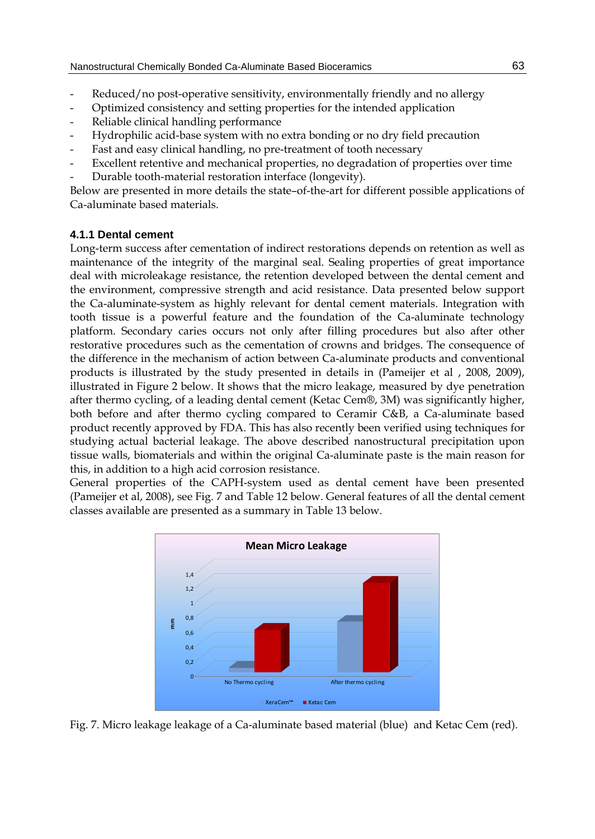- Reduced/no post-operative sensitivity, environmentally friendly and no allergy
- Optimized consistency and setting properties for the intended application
- Reliable clinical handling performance
- Hydrophilic acid-base system with no extra bonding or no dry field precaution
- Fast and easy clinical handling, no pre-treatment of tooth necessary
- Excellent retentive and mechanical properties, no degradation of properties over time
- Durable tooth-material restoration interface (longevity).

Below are presented in more details the state–of-the-art for different possible applications of Ca-aluminate based materials.

#### **4.1.1 Dental cement**

Long-term success after cementation of indirect restorations depends on retention as well as maintenance of the integrity of the marginal seal. Sealing properties of great importance deal with microleakage resistance, the retention developed between the dental cement and the environment, compressive strength and acid resistance. Data presented below support the Ca-aluminate-system as highly relevant for dental cement materials. Integration with tooth tissue is a powerful feature and the foundation of the Ca-aluminate technology platform. Secondary caries occurs not only after filling procedures but also after other restorative procedures such as the cementation of crowns and bridges. The consequence of the difference in the mechanism of action between Ca-aluminate products and conventional products is illustrated by the study presented in details in (Pameijer et al , 2008, 2009), illustrated in Figure 2 below. It shows that the micro leakage, measured by dye penetration after thermo cycling, of a leading dental cement (Ketac Cem®, 3M) was significantly higher, both before and after thermo cycling compared to Ceramir C&B, a Ca-aluminate based product recently approved by FDA. This has also recently been verified using techniques for studying actual bacterial leakage. The above described nanostructural precipitation upon tissue walls, biomaterials and within the original Ca-aluminate paste is the main reason for this, in addition to a high acid corrosion resistance.

General properties of the CAPH-system used as dental cement have been presented (Pameijer et al, 2008), see Fig. 7 and Table 12 below. General features of all the dental cement classes available are presented as a summary in Table 13 below.



Fig. 7. Micro leakage leakage of a Ca-aluminate based material (blue) and Ketac Cem (red).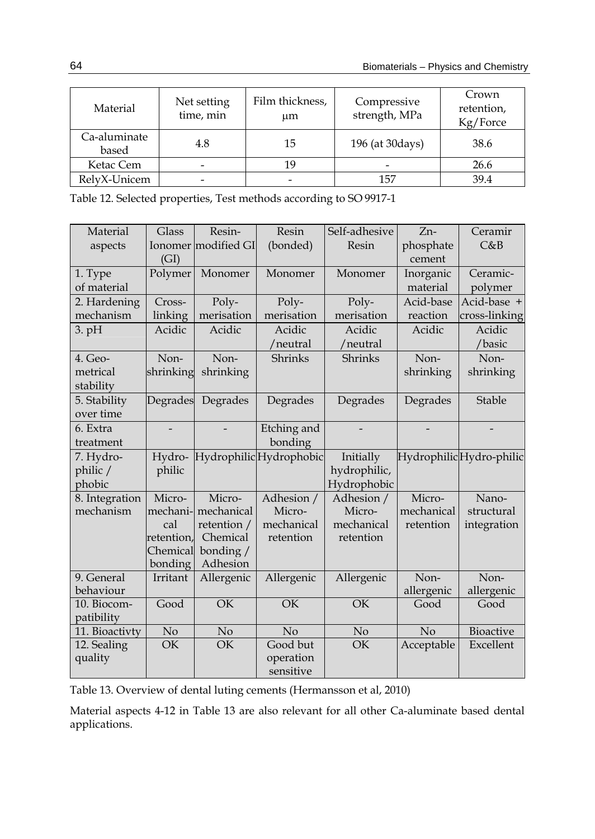| Material              | Net setting<br>time, min | Film thickness,<br>um | Compressive<br>strength, MPa | Crown<br>retention,<br>Kg/Force |
|-----------------------|--------------------------|-----------------------|------------------------------|---------------------------------|
| Ca-aluminate<br>based | 4.8                      | 15                    | 196 (at 30 days)             | 38.6                            |
| Ketac Cem             |                          | 19                    |                              | 26.6                            |
| RelvX-Unicem          |                          |                       | 157                          | 39.4                            |

Table 12. Selected properties, Test methods according to SO 9917-1

| Material<br>aspects                | Glass<br>(GI)                                                  | Resin-<br>Ionomer modified GI                                           | Resin<br>(bonded)                               | Self-adhesive<br>Resin                          | $Z_{n-}$<br>phosphate<br>cement   | Ceramir<br>C&B                     |
|------------------------------------|----------------------------------------------------------------|-------------------------------------------------------------------------|-------------------------------------------------|-------------------------------------------------|-----------------------------------|------------------------------------|
| 1. Type<br>of material             | Polymer                                                        | Monomer                                                                 | Monomer                                         | Monomer                                         | Inorganic<br>material             | Ceramic-<br>polymer                |
| 2. Hardening<br>mechanism          | Cross-<br>linking                                              | Poly-<br>merisation                                                     | Poly-<br>merisation                             | Poly-<br>merisation                             | Acid-base<br>reaction             | Acid-base +<br>cross-linking       |
| 3. pH                              | Acidic                                                         | Acidic                                                                  | Acidic<br>/neutral                              | Acidic<br>/neutral                              | Acidic                            | Acidic<br>/basic                   |
| $4.$ Geo-<br>metrical<br>stability | Non-<br>shrinking                                              | Non-<br>shrinking                                                       | <b>Shrinks</b>                                  | Shrinks                                         | Non-<br>shrinking                 | Non-<br>shrinking                  |
| 5. Stability<br>over time          | Degrades                                                       | Degrades                                                                | Degrades                                        | Degrades                                        | Degrades                          | Stable                             |
| 6. Extra<br>treatment              |                                                                |                                                                         | Etching and<br>bonding                          |                                                 |                                   |                                    |
| 7. Hydro-<br>philic /<br>phobic    | Hydro-<br>philic                                               |                                                                         | HydrophilicHydrophobic                          | Initially<br>hydrophilic,<br>Hydrophobic        |                                   | HydrophilicHydro-philic            |
| 8. Integration<br>mechanism        | Micro-<br>mechani-<br>cal<br>retention.<br>Chemical<br>bonding | Micro-<br>mechanical<br>retention /<br>Chemical<br>bonding/<br>Adhesion | Adhesion /<br>Micro-<br>mechanical<br>retention | Adhesion /<br>Micro-<br>mechanical<br>retention | Micro-<br>mechanical<br>retention | Nano-<br>structural<br>integration |
| 9. General<br>behaviour            | Irritant                                                       | Allergenic                                                              | Allergenic                                      | Allergenic                                      | Non-<br>allergenic                | Non-<br>allergenic                 |
| 10. Biocom-<br>patibility          | Good                                                           | OK                                                                      | OK                                              | OK                                              | Good                              | Good                               |
| 11. Bioactivty                     | No                                                             | No                                                                      | No                                              | No                                              | No                                | <b>Bioactive</b>                   |
| 12. Sealing<br>quality             | OK                                                             | OK                                                                      | Good but<br>operation<br>sensitive              | $\overline{\rm OK}$                             | Acceptable                        | Excellent                          |

Table 13. Overview of dental luting cements (Hermansson et al, 2010)

Material aspects 4-12 in Table 13 are also relevant for all other Ca-aluminate based dental applications.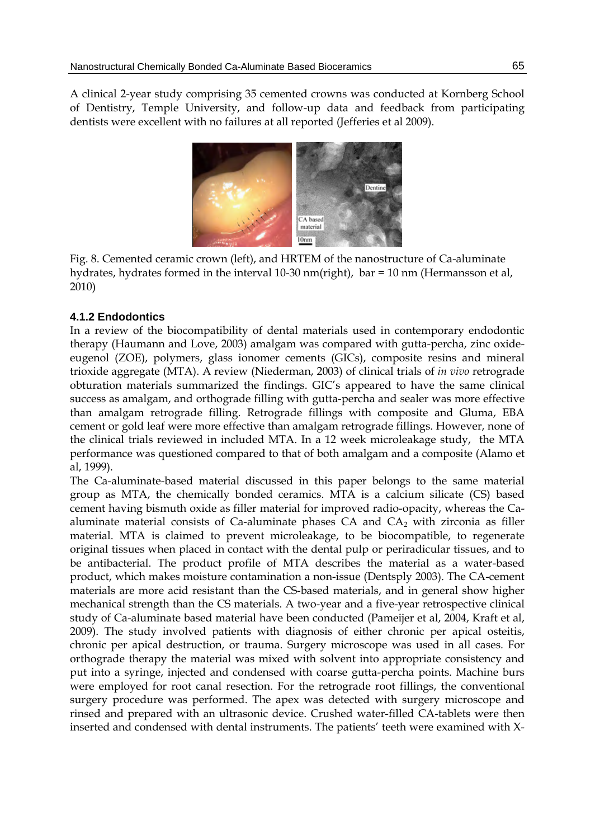A clinical 2-year study comprising 35 cemented crowns was conducted at Kornberg School of Dentistry, Temple University, and follow-up data and feedback from participating dentists were excellent with no failures at all reported (Jefferies et al 2009).



Fig. 8. Cemented ceramic crown (left), and HRTEM of the nanostructure of Ca-aluminate hydrates, hydrates formed in the interval 10-30 nm(right), bar = 10 nm (Hermansson et al, 2010)

## **4.1.2 Endodontics**

In a review of the biocompatibility of dental materials used in contemporary endodontic therapy (Haumann and Love, 2003) amalgam was compared with gutta-percha, zinc oxideeugenol (ZOE), polymers, glass ionomer cements (GICs), composite resins and mineral trioxide aggregate (MTA). A review (Niederman, 2003) of clinical trials of *in vivo* retrograde obturation materials summarized the findings. GIC's appeared to have the same clinical success as amalgam, and orthograde filling with gutta-percha and sealer was more effective than amalgam retrograde filling. Retrograde fillings with composite and Gluma, EBA cement or gold leaf were more effective than amalgam retrograde fillings. However, none of the clinical trials reviewed in included MTA. In a 12 week microleakage study, the MTA performance was questioned compared to that of both amalgam and a composite (Alamo et al, 1999).

The Ca-aluminate-based material discussed in this paper belongs to the same material group as MTA, the chemically bonded ceramics. MTA is a calcium silicate (CS) based cement having bismuth oxide as filler material for improved radio-opacity, whereas the Caaluminate material consists of Ca-aluminate phases CA and  $CA<sub>2</sub>$  with zirconia as filler material. MTA is claimed to prevent microleakage, to be biocompatible, to regenerate original tissues when placed in contact with the dental pulp or periradicular tissues, and to be antibacterial. The product profile of MTA describes the material as a water-based product, which makes moisture contamination a non-issue (Dentsply 2003). The CA-cement materials are more acid resistant than the CS-based materials, and in general show higher mechanical strength than the CS materials. A two-year and a five-year retrospective clinical study of Ca-aluminate based material have been conducted (Pameijer et al, 2004, Kraft et al, 2009). The study involved patients with diagnosis of either chronic per apical osteitis, chronic per apical destruction, or trauma. Surgery microscope was used in all cases. For orthograde therapy the material was mixed with solvent into appropriate consistency and put into a syringe, injected and condensed with coarse gutta-percha points. Machine burs were employed for root canal resection. For the retrograde root fillings, the conventional surgery procedure was performed. The apex was detected with surgery microscope and rinsed and prepared with an ultrasonic device. Crushed water-filled CA-tablets were then inserted and condensed with dental instruments. The patients' teeth were examined with X-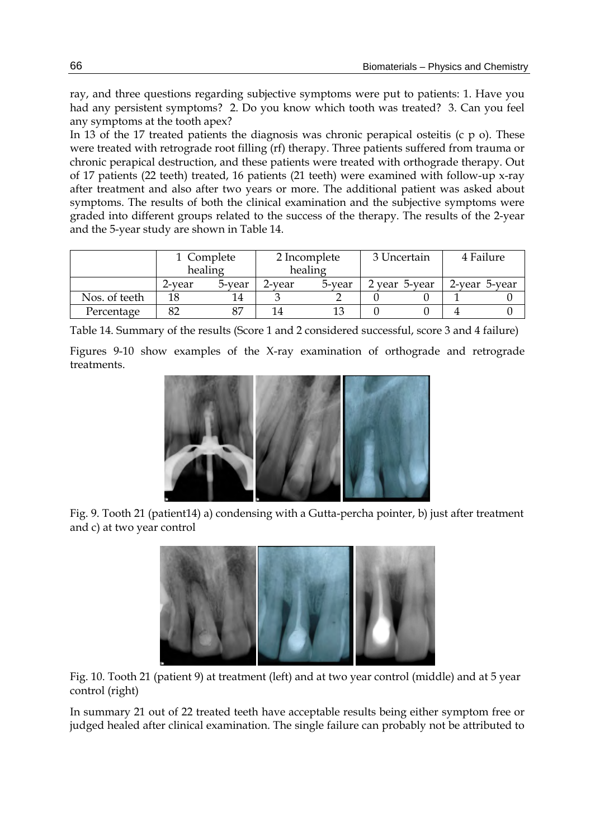ray, and three questions regarding subjective symptoms were put to patients: 1. Have you had any persistent symptoms? 2. Do you know which tooth was treated? 3. Can you feel any symptoms at the tooth apex?

In 13 of the 17 treated patients the diagnosis was chronic perapical osteitis (c  $p$  o). These were treated with retrograde root filling (rf) therapy. Three patients suffered from trauma or chronic perapical destruction, and these patients were treated with orthograde therapy. Out of 17 patients (22 teeth) treated, 16 patients (21 teeth) were examined with follow-up x-ray after treatment and also after two years or more. The additional patient was asked about symptoms. The results of both the clinical examination and the subjective symptoms were graded into different groups related to the success of the therapy. The results of the 2-year and the 5-year study are shown in Table 14.

|               | 1 Complete |        | 2 Incomplete |        | 3 Uncertain |               | 4 Failure |               |
|---------------|------------|--------|--------------|--------|-------------|---------------|-----------|---------------|
|               | healing    |        | healing      |        |             |               |           |               |
|               | 2-vear     | 5-vear | 2-vear       | 5-year |             | 2 year 5-year |           | 2-year 5-year |
| Nos. of teeth |            |        |              |        |             |               |           |               |
| Percentage    |            | 87     |              |        |             |               |           |               |

Table 14. Summary of the results (Score 1 and 2 considered successful, score 3 and 4 failure)

Figures 9-10 show examples of the X-ray examination of orthograde and retrograde treatments.



Fig. 9. Tooth 21 (patient14) a) condensing with a Gutta-percha pointer, b) just after treatment and c) at two year control



Fig. 10. Tooth 21 (patient 9) at treatment (left) and at two year control (middle) and at 5 year control (right)

In summary 21 out of 22 treated teeth have acceptable results being either symptom free or judged healed after clinical examination. The single failure can probably not be attributed to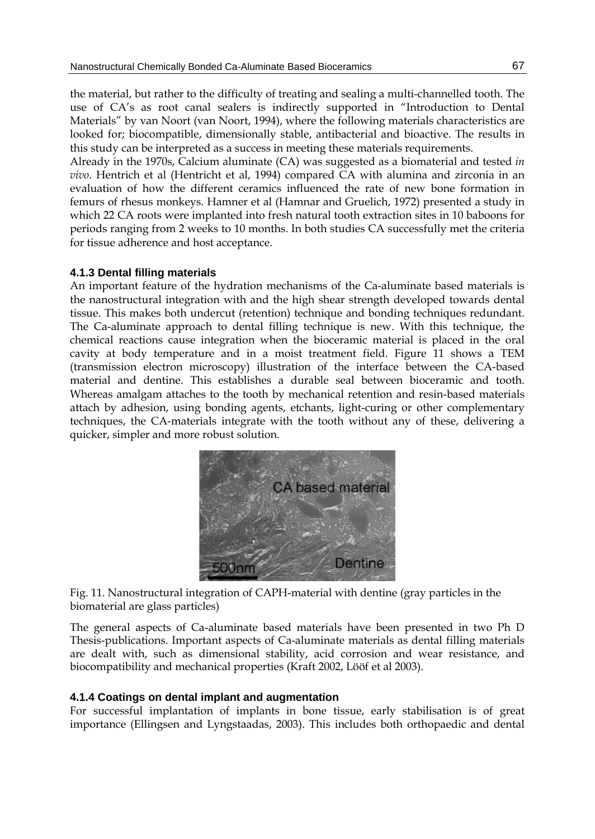the material, but rather to the difficulty of treating and sealing a multi-channelled tooth. The use of CA's as root canal sealers is indirectly supported in "Introduction to Dental Materials" by van Noort (van Noort, 1994), where the following materials characteristics are looked for; biocompatible, dimensionally stable, antibacterial and bioactive. The results in this study can be interpreted as a success in meeting these materials requirements.

Already in the 1970s, Calcium aluminate (CA) was suggested as a biomaterial and tested *in vivo*. Hentrich et al (Hentricht et al, 1994) compared CA with alumina and zirconia in an evaluation of how the different ceramics influenced the rate of new bone formation in femurs of rhesus monkeys. Hamner et al (Hamnar and Gruelich, 1972) presented a study in which 22 CA roots were implanted into fresh natural tooth extraction sites in 10 baboons for periods ranging from 2 weeks to 10 months. In both studies CA successfully met the criteria for tissue adherence and host acceptance.

### **4.1.3 Dental filling materials**

An important feature of the hydration mechanisms of the Ca-aluminate based materials is the nanostructural integration with and the high shear strength developed towards dental tissue. This makes both undercut (retention) technique and bonding techniques redundant. The Ca-aluminate approach to dental filling technique is new. With this technique, the chemical reactions cause integration when the bioceramic material is placed in the oral cavity at body temperature and in a moist treatment field. Figure 11 shows a TEM (transmission electron microscopy) illustration of the interface between the CA-based material and dentine. This establishes a durable seal between bioceramic and tooth. Whereas amalgam attaches to the tooth by mechanical retention and resin-based materials attach by adhesion, using bonding agents, etchants, light-curing or other complementary techniques, the CA-materials integrate with the tooth without any of these, delivering a quicker, simpler and more robust solution.



Fig. 11. Nanostructural integration of CAPH-material with dentine (gray particles in the biomaterial are glass particles)

The general aspects of Ca-aluminate based materials have been presented in two Ph D Thesis-publications. Important aspects of Ca-aluminate materials as dental filling materials are dealt with, such as dimensional stability, acid corrosion and wear resistance, and biocompatibility and mechanical properties (Kraft 2002, Lööf et al 2003).

#### **4.1.4 Coatings on dental implant and augmentation**

For successful implantation of implants in bone tissue, early stabilisation is of great importance (Ellingsen and Lyngstaadas, 2003). This includes both orthopaedic and dental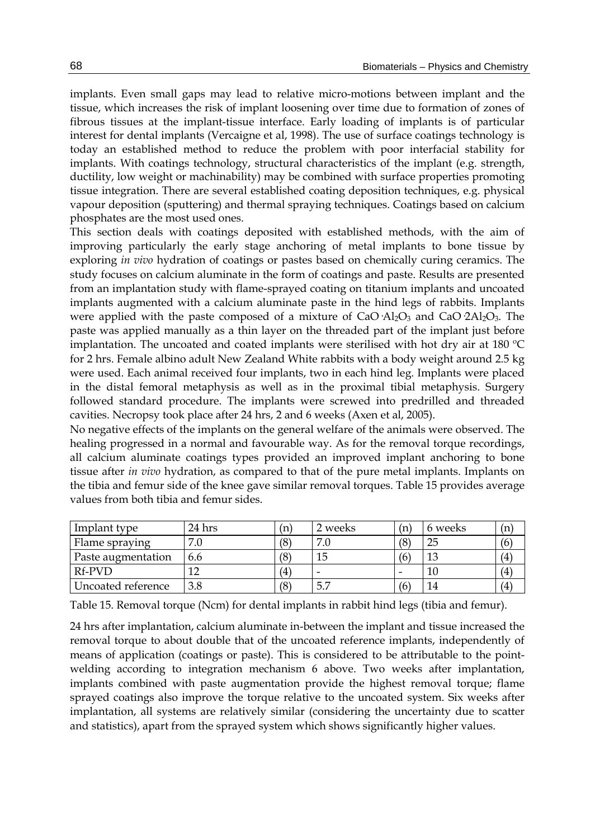implants. Even small gaps may lead to relative micro-motions between implant and the tissue, which increases the risk of implant loosening over time due to formation of zones of fibrous tissues at the implant-tissue interface. Early loading of implants is of particular interest for dental implants (Vercaigne et al, 1998). The use of surface coatings technology is today an established method to reduce the problem with poor interfacial stability for implants. With coatings technology, structural characteristics of the implant (e.g. strength, ductility, low weight or machinability) may be combined with surface properties promoting tissue integration. There are several established coating deposition techniques, e.g. physical vapour deposition (sputtering) and thermal spraying techniques. Coatings based on calcium phosphates are the most used ones.

This section deals with coatings deposited with established methods, with the aim of improving particularly the early stage anchoring of metal implants to bone tissue by exploring *in vivo* hydration of coatings or pastes based on chemically curing ceramics. The study focuses on calcium aluminate in the form of coatings and paste. Results are presented from an implantation study with flame-sprayed coating on titanium implants and uncoated implants augmented with a calcium aluminate paste in the hind legs of rabbits. Implants were applied with the paste composed of a mixture of CaO·Al<sub>2</sub>O<sub>3</sub> and CaO·2Al<sub>2</sub>O<sub>3</sub>. The paste was applied manually as a thin layer on the threaded part of the implant just before implantation. The uncoated and coated implants were sterilised with hot dry air at 180 ºC for 2 hrs. Female albino adult New Zealand White rabbits with a body weight around 2.5 kg were used. Each animal received four implants, two in each hind leg. Implants were placed in the distal femoral metaphysis as well as in the proximal tibial metaphysis. Surgery followed standard procedure. The implants were screwed into predrilled and threaded cavities. Necropsy took place after 24 hrs, 2 and 6 weeks (Axen et al, 2005).

No negative effects of the implants on the general welfare of the animals were observed. The healing progressed in a normal and favourable way. As for the removal torque recordings, all calcium aluminate coatings types provided an improved implant anchoring to bone tissue after *in vivo* hydration, as compared to that of the pure metal implants. Implants on the tibia and femur side of the knee gave similar removal torques. Table 15 provides average values from both tibia and femur sides.

| Implant type       | 24 hrs | (n) | 2 weeks | (n) | 6 weeks | (n)               |
|--------------------|--------|-----|---------|-----|---------|-------------------|
| Flame spraying     |        | (8) |         | (8) | 25      | (6)               |
| Paste augmentation | 6.6    | (8) |         | (6) | 13      | (4)               |
| Rf-PVD             |        | (4` |         |     | 10      | $\left( 4\right)$ |
| Uncoated reference | 3.8    | (8) | 5.7     | (6) | 14      | (4`               |

Table 15. Removal torque (Ncm) for dental implants in rabbit hind legs (tibia and femur).

24 hrs after implantation, calcium aluminate in-between the implant and tissue increased the removal torque to about double that of the uncoated reference implants, independently of means of application (coatings or paste). This is considered to be attributable to the pointwelding according to integration mechanism 6 above. Two weeks after implantation, implants combined with paste augmentation provide the highest removal torque; flame sprayed coatings also improve the torque relative to the uncoated system. Six weeks after implantation, all systems are relatively similar (considering the uncertainty due to scatter and statistics), apart from the sprayed system which shows significantly higher values.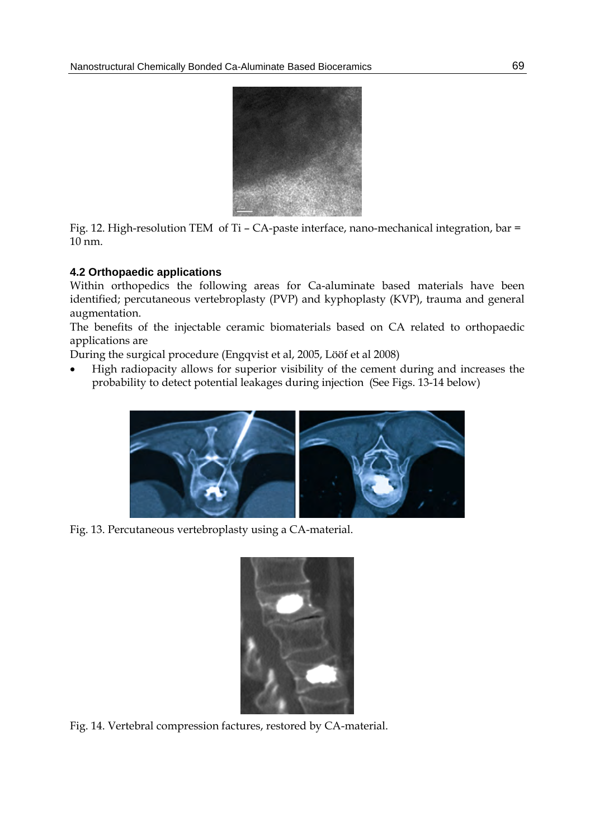

Fig. 12. High-resolution TEM of Ti – CA-paste interface, nano-mechanical integration, bar =  $10$  nm.

# **4.2 Orthopaedic applications**

Within orthopedics the following areas for Ca-aluminate based materials have been identified; percutaneous vertebroplasty (PVP) and kyphoplasty (KVP), trauma and general augmentation.

The benefits of the injectable ceramic biomaterials based on CA related to orthopaedic applications are

During the surgical procedure (Engqvist et al, 2005, Lööf et al 2008)

 High radiopacity allows for superior visibility of the cement during and increases the probability to detect potential leakages during injection (See Figs. 13-14 below)



Fig. 13. Percutaneous vertebroplasty using a CA-material.



Fig. 14. Vertebral compression factures, restored by CA-material.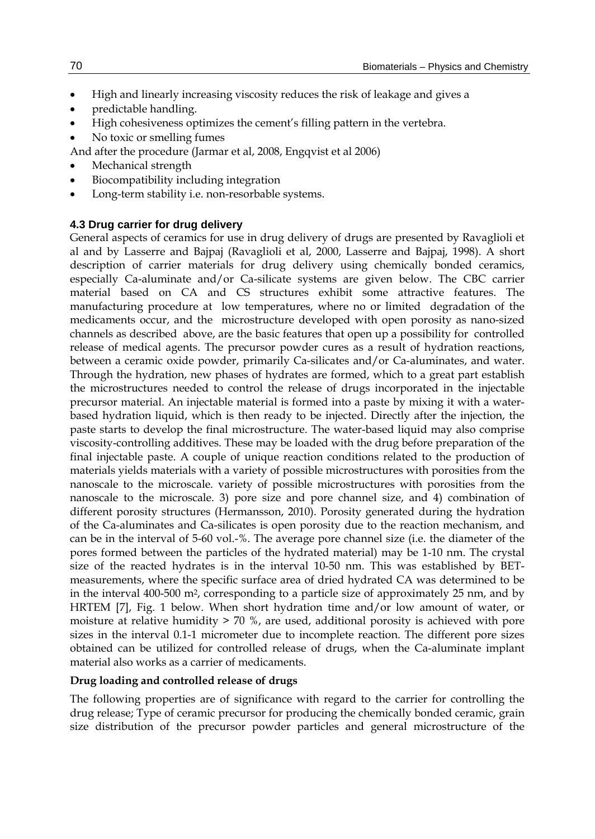- High and linearly increasing viscosity reduces the risk of leakage and gives a
- predictable handling.
- High cohesiveness optimizes the cement's filling pattern in the vertebra.
- No toxic or smelling fumes
- And after the procedure (Jarmar et al, 2008, Engqvist et al 2006)
- Mechanical strength
- Biocompatibility including integration
- Long-term stability i.e. non-resorbable systems.

#### **4.3 Drug carrier for drug delivery**

General aspects of ceramics for use in drug delivery of drugs are presented by Ravaglioli et al and by Lasserre and Bajpaj (Ravaglioli et al, 2000, Lasserre and Bajpaj, 1998). A short description of carrier materials for drug delivery using chemically bonded ceramics, especially Ca-aluminate and/or Ca-silicate systems are given below. The CBC carrier material based on CA and CS structures exhibit some attractive features. The manufacturing procedure at low temperatures, where no or limited degradation of the medicaments occur, and the microstructure developed with open porosity as nano-sized channels as described above, are the basic features that open up a possibility for controlled release of medical agents. The precursor powder cures as a result of hydration reactions, between a ceramic oxide powder, primarily Ca-silicates and/or Ca-aluminates, and water. Through the hydration, new phases of hydrates are formed, which to a great part establish the microstructures needed to control the release of drugs incorporated in the injectable precursor material. An injectable material is formed into a paste by mixing it with a waterbased hydration liquid, which is then ready to be injected. Directly after the injection, the paste starts to develop the final microstructure. The water-based liquid may also comprise viscosity-controlling additives. These may be loaded with the drug before preparation of the final injectable paste. A couple of unique reaction conditions related to the production of materials yields materials with a variety of possible microstructures with porosities from the nanoscale to the microscale. variety of possible microstructures with porosities from the nanoscale to the microscale. 3) pore size and pore channel size, and 4) combination of different porosity structures (Hermansson, 2010). Porosity generated during the hydration of the Ca-aluminates and Ca-silicates is open porosity due to the reaction mechanism, and can be in the interval of 5-60 vol.-%. The average pore channel size (i.e. the diameter of the pores formed between the particles of the hydrated material) may be 1-10 nm. The crystal size of the reacted hydrates is in the interval 10-50 nm. This was established by BETmeasurements, where the specific surface area of dried hydrated CA was determined to be in the interval 400-500 m2, corresponding to a particle size of approximately 25 nm, and by HRTEM [7], Fig. 1 below. When short hydration time and/or low amount of water, or moisture at relative humidity > 70 %, are used, additional porosity is achieved with pore sizes in the interval 0.1-1 micrometer due to incomplete reaction. The different pore sizes obtained can be utilized for controlled release of drugs, when the Ca-aluminate implant material also works as a carrier of medicaments.

#### **Drug loading and controlled release of drugs**

The following properties are of significance with regard to the carrier for controlling the drug release; Type of ceramic precursor for producing the chemically bonded ceramic, grain size distribution of the precursor powder particles and general microstructure of the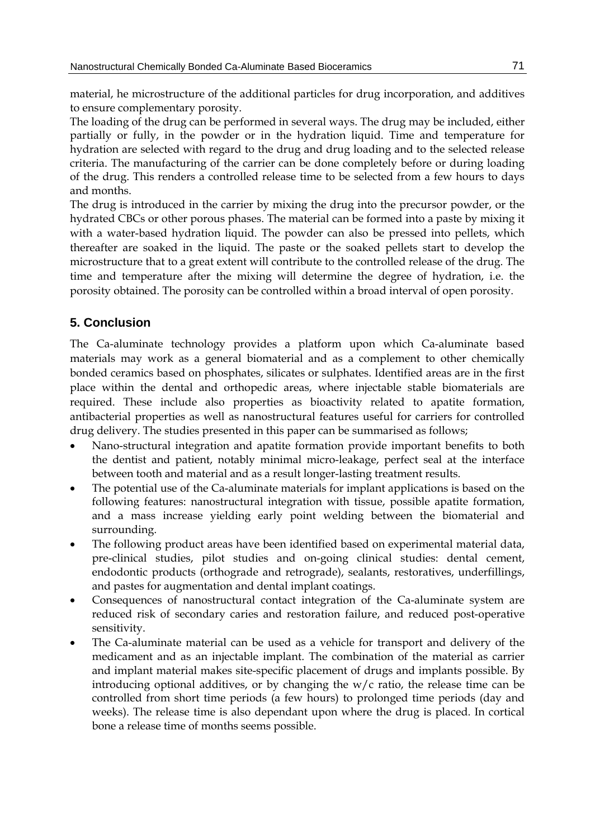material, he microstructure of the additional particles for drug incorporation, and additives to ensure complementary porosity.

The loading of the drug can be performed in several ways. The drug may be included, either partially or fully, in the powder or in the hydration liquid. Time and temperature for hydration are selected with regard to the drug and drug loading and to the selected release criteria. The manufacturing of the carrier can be done completely before or during loading of the drug. This renders a controlled release time to be selected from a few hours to days and months.

The drug is introduced in the carrier by mixing the drug into the precursor powder, or the hydrated CBCs or other porous phases. The material can be formed into a paste by mixing it with a water-based hydration liquid. The powder can also be pressed into pellets, which thereafter are soaked in the liquid. The paste or the soaked pellets start to develop the microstructure that to a great extent will contribute to the controlled release of the drug. The time and temperature after the mixing will determine the degree of hydration, i.e. the porosity obtained. The porosity can be controlled within a broad interval of open porosity.

# **5. Conclusion**

The Ca-aluminate technology provides a platform upon which Ca-aluminate based materials may work as a general biomaterial and as a complement to other chemically bonded ceramics based on phosphates, silicates or sulphates. Identified areas are in the first place within the dental and orthopedic areas, where injectable stable biomaterials are required. These include also properties as bioactivity related to apatite formation, antibacterial properties as well as nanostructural features useful for carriers for controlled drug delivery. The studies presented in this paper can be summarised as follows;

- Nano-structural integration and apatite formation provide important benefits to both the dentist and patient, notably minimal micro-leakage, perfect seal at the interface between tooth and material and as a result longer-lasting treatment results.
- The potential use of the Ca-aluminate materials for implant applications is based on the following features: nanostructural integration with tissue, possible apatite formation, and a mass increase yielding early point welding between the biomaterial and surrounding.
- The following product areas have been identified based on experimental material data, pre-clinical studies, pilot studies and on-going clinical studies: dental cement, endodontic products (orthograde and retrograde), sealants, restoratives, underfillings, and pastes for augmentation and dental implant coatings.
- Consequences of nanostructural contact integration of the Ca-aluminate system are reduced risk of secondary caries and restoration failure, and reduced post-operative sensitivity.
- The Ca-aluminate material can be used as a vehicle for transport and delivery of the medicament and as an injectable implant. The combination of the material as carrier and implant material makes site-specific placement of drugs and implants possible. By introducing optional additives, or by changing the w/c ratio, the release time can be controlled from short time periods (a few hours) to prolonged time periods (day and weeks). The release time is also dependant upon where the drug is placed. In cortical bone a release time of months seems possible.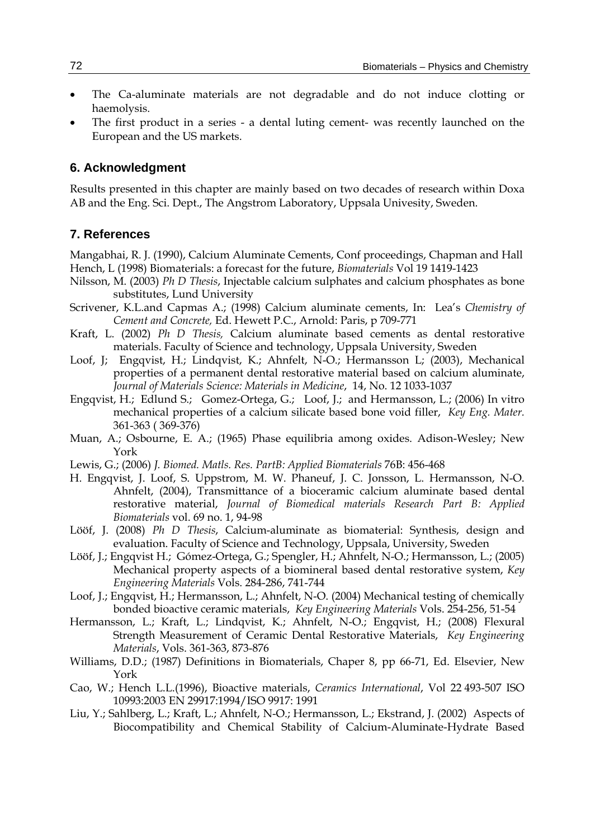- The Ca-aluminate materials are not degradable and do not induce clotting or haemolysis.
- The first product in a series a dental luting cement- was recently launched on the European and the US markets.

#### **6. Acknowledgment**

Results presented in this chapter are mainly based on two decades of research within Doxa AB and the Eng. Sci. Dept., The Angstrom Laboratory, Uppsala Univesity, Sweden.

# **7. References**

Mangabhai, R. J. (1990), Calcium Aluminate Cements, Conf proceedings, Chapman and Hall Hench, L (1998) Biomaterials: a forecast for the future, *Biomaterials* Vol 19 1419-1423

- Nilsson, M. (2003) *Ph D Thesis*, Injectable calcium sulphates and calcium phosphates as bone substitutes, Lund University
- Scrivener, K.L.and Capmas A.; (1998) Calcium aluminate cements, In: Lea's *Chemistry of Cement and Concrete,* Ed. Hewett P.C., Arnold: Paris, p 709-771
- Kraft, L. (2002) *Ph D Thesis,* Calcium aluminate based cements as dental restorative materials. Faculty of Science and technology, Uppsala University, Sweden
- Loof, J; Engqvist, H.; Lindqvist, K.; Ahnfelt, N-O.; Hermansson L; (2003), Mechanical properties of a permanent dental restorative material based on calcium aluminate, *Journal of Materials Science: Materials in Medicine*, 14, No. 12 1033-1037
- Engqvist, H.; Edlund S.; Gomez-Ortega, G.; Loof, J.; and Hermansson, L.; (2006) In vitro mechanical properties of a calcium silicate based bone void filler, *Key Eng. Mater.*  361-363 ( 369-376)
- Muan, A.; Osbourne, E. A.; (1965) Phase equilibria among oxides. Adison-Wesley; New York
- Lewis, G.; (2006) *J. Biomed. Matls. Res. PartB: Applied Biomaterials* 76B: 456-468
- H. Engqvist, J. Loof, S. Uppstrom, M. W. Phaneuf, J. C. Jonsson, L. Hermansson, N-O. Ahnfelt, (2004), Transmittance of a bioceramic calcium aluminate based dental restorative material, *Journal of Biomedical materials Research Part B: Applied Biomaterials* vol. 69 no. 1, 94-98
- Lööf, J. (2008) *Ph D Thesis*, Calcium-aluminate as biomaterial: Synthesis, design and evaluation. Faculty of Science and Technology, Uppsala, University, Sweden
- Lööf, J.; Engqvist H.; Gómez-Ortega, G.; Spengler, H.; Ahnfelt, N-O.; Hermansson, L.; (2005) Mechanical property aspects of a biomineral based dental restorative system, *Key Engineering Materials* Vols. 284-286, 741-744
- Loof, J.; Engqvist, H.; Hermansson, L.; Ahnfelt, N-O. (2004) Mechanical testing of chemically bonded bioactive ceramic materials, *Key Engineering Materials* Vols. 254-256, 51-54
- Hermansson, L.; Kraft, L.; Lindqvist, K.; Ahnfelt, N-O.; Engqvist, H.; (2008) Flexural Strength Measurement of Ceramic Dental Restorative Materials, *Key Engineering Materials*, Vols. 361-363, 873-876
- Williams, D.D.; (1987) Definitions in Biomaterials, Chaper 8, pp 66-71, Ed. Elsevier, New York
- Cao, W.; Hench L.L.(1996), Bioactive materials, *Ceramics International*, Vol 22 493-507 ISO 10993:2003 EN 29917:1994/ISO 9917: 1991
- Liu, Y.; Sahlberg, L.; Kraft, L.; Ahnfelt, N-O.; Hermansson, L.; Ekstrand, J. (2002) Aspects of Biocompatibility and Chemical Stability of Calcium-Aluminate-Hydrate Based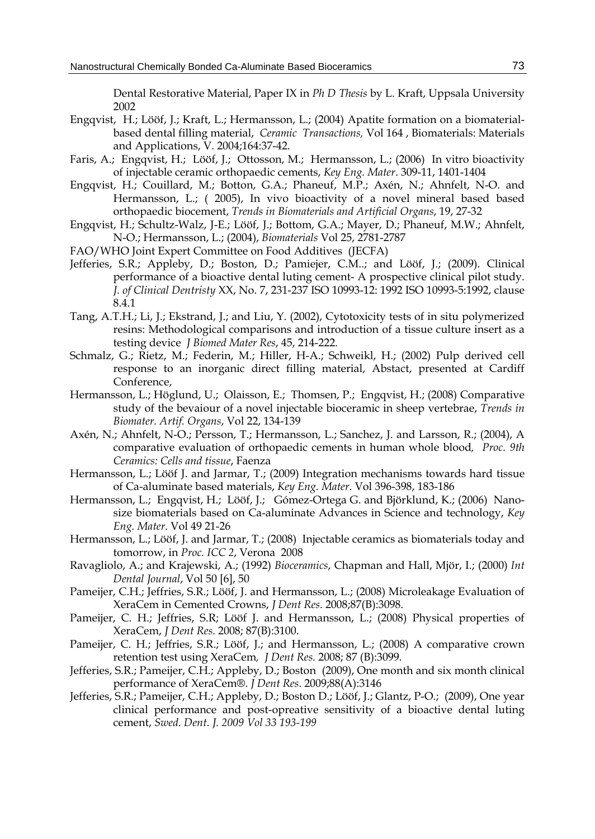Dental Restorative Material, Paper IX in *Ph D Thesis* by L. Kraft, Uppsala University 2002

- Engqvist, H.; Lööf, J.; Kraft, L.; Hermansson, L.; (2004) Apatite formation on a biomaterialbased dental filling material, *Ceramic Transactions,* Vol 164 , Biomaterials: Materials and Applications, V. 2004;164:37-42.
- Faris, A.; Engqvist, H.; Lööf, J.; Ottosson, M.; Hermansson, L.; (2006) In vitro bioactivity of injectable ceramic orthopaedic cements, *Key Eng. Mater*. 309-11, 1401-1404
- Engqvist, H.; Couillard, M.; Botton, G.A.; Phaneuf, M.P.; Axén, N.; Ahnfelt, N-O. and Hermansson, L.; ( 2005), In vivo bioactivity of a novel mineral based based orthopaedic biocement, *Trends in Biomaterials and Artificial Organs*, 19, 27-32
- Engqvist, H.; Schultz-Walz, J-E.; Lööf, J.; Bottom, G.A.; Mayer, D.; Phaneuf, M.W.; Ahnfelt, N-O.; Hermansson, L.; (2004), *Biomaterials* Vol 25, 2781-2787
- FAO/WHO Joint Expert Committee on Food Additives (JECFA)
- Jefferies, S.R.; Appleby, D.; Boston, D.; Pamiejer, C.M..; and Lööf, J.; (2009). Clinical performance of a bioactive dental luting cement- A prospective clinical pilot study. *J. of Clinical Dentristy* XX, No. 7, 231-237 ISO 10993-12: 1992 ISO 10993-5:1992, clause 8.4.1
- Tang, A.T.H.; Li, J.; Ekstrand, J.; and Liu, Y. (2002), Cytotoxicity tests of in situ polymerized resins: Methodological comparisons and introduction of a tissue culture insert as a testing device *J Biomed Mater Res*, 45, 214-222.
- Schmalz, G.; Rietz, M.; Federin, M.; Hiller, H-A.; Schweikl, H.; (2002) Pulp derived cell response to an inorganic direct filling material, Abstact, presented at Cardiff Conference,
- Hermansson, L.; Höglund, U.; Olaisson, E.; Thomsen, P.; Engqvist, H.; (2008) Comparative study of the bevaiour of a novel injectable bioceramic in sheep vertebrae, *Trends in Biomater. Artif. Organs*, Vol 22, 134-139
- Axén, N.; Ahnfelt, N-O.; Persson, T.; Hermansson, L.; Sanchez, J. and Larsson, R.; (2004), A comparative evaluation of orthopaedic cements in human whole blood*, Proc. 9th Ceramics: Cells and tissue*, Faenza
- Hermansson, L.; Lööf J. and Jarmar, T.; (2009) Integration mechanisms towards hard tissue of Ca-aluminate based materials, *Key Eng. Mater*. Vol 396-398, 183-186
- Hermansson, L.; Engqvist, H.; Lööf, J.; Gómez-Ortega G. and Björklund, K.; (2006) Nanosize biomaterials based on Ca-aluminate Advances in Science and technology, *Key Eng. Mater*. Vol 49 21-26
- Hermansson, L.; Lööf, J. and Jarmar, T.; (2008) Injectable ceramics as biomaterials today and tomorrow, in *Proc. ICC 2*, Verona 2008
- Ravagliolo, A.; and Krajewski, A.; (1992) *Bioceramics*, Chapman and Hall, Mjör, I.; (2000) *Int Dental Journal*, Vol 50 [6], 50
- Pameijer, C.H.; Jeffries, S.R.; Lööf, J. and Hermansson, L.; (2008) Microleakage Evaluation of XeraCem in Cemented Crowns, *J Dent Res*. 2008;87(B):3098.
- Pameijer, C. H.; Jeffries, S.R; Lööf J. and Hermansson, L.; (2008) Physical properties of XeraCem, *J Dent Res*. 2008; 87(B):3100.
- Pameijer, C. H.; Jeffries, S.R.; Lööf, J.; and Hermansson, L.; (2008) A comparative crown retention test using XeraCem*, J Dent Res.* 2008; 87 (B):3099.
- Jefferies, S.R.; Pameijer, C.H.; Appleby, D.; Boston (2009), One month and six month clinical performance of XeraCem®. *J Dent Res*. 2009;88(A):3146
- Jefferies, S.R.; Pameijer, C.H.; Appleby, D.; Boston D.; Lööf, J.; Glantz, P-O.; (2009), One year clinical performance and post-opreative sensitivity of a bioactive dental luting cement, *Swed. Dent. J. 2009 Vol 33 193-199*